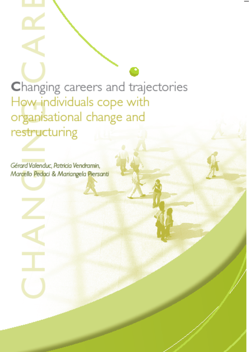Changing careers and trajectories How individuals cope with organisational change and restructuring

Gérard Valenduc, Patricia Vendramin, Marcello Pedoci & Mariangela Piersanti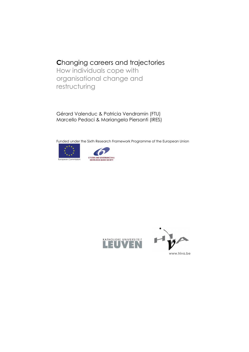## **C**hanging careers and trajectories

How individuals cope with organisational change and restructuring

Gérard Valenduc & Patricia Vendramin (FTU) Marcello Pedaci & Mariangela Piersanti (IRES)

Funded under the Sixth Research Framework Programme of the European Union









**www.hiva.be**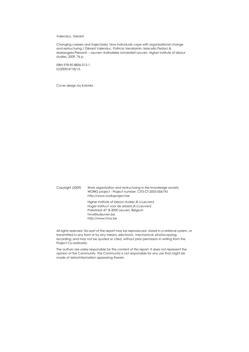#### Valenduc, Gérard

Changing careers and trajectories. How individuals cope with organisational change and restructuring / Gérard Valenduc, Patricia Vendramin, Marcello Pedaci & Mariangela Piersanti. – Leuven: Katholieke Universiteit Leuven. Higher institute of labour studies, 2009, 76 p.

ISBN 978-90-8836-012-1. D/2009/4718/13.

Cover design by Koloriet.

Copyright (2009) Work organisation and restructuring in the knowledge society WORKS project - Project number: CIT3-CT-2005-006193 http://www.worksproject.be Higher institute of labour studies (K.U.Leuven) *Hoger instituut voor de arbeid (K.U.Leuven)* Parkstraat 47, B-3000 Leuven, Belgium hiva@kuleuven.be http://www.hiva.be

All rights reserved. No part of the report may be reproduced, stored in a retrieval system, or transmitted in any form or by any means, electronic, mechanical, photocopying, recording; and may not be quoted or cited, without prior permission in writing from the Project Co-ordinator.

The authors are solely responsible for the content of this report. It does not represent the opinion of the Community. The Community is not responsible for any use that might be made of data/information appearing therein.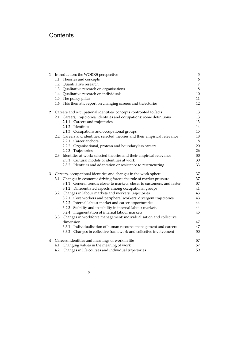## **Contents**

| 1              | Introduction: the WORKS perspective                                         | 5              |
|----------------|-----------------------------------------------------------------------------|----------------|
|                | 1.1 Theories and concepts                                                   | 6              |
|                | 1.2 Quantitative research                                                   | $\overline{7}$ |
|                | 1.3 Qualitative research on organisations                                   | $\,8\,$        |
|                | 1.4 Qualitative research on individuals                                     | 10             |
|                | 1.5 The policy pillar                                                       | 11             |
|                | 1.6 This thematic report on changing careers and trajectories               | 12             |
| $2^{\circ}$    | Careers and occupational identities: concepts confronted to facts           | 13             |
|                | 2.1 Careers, trajectories, identities and occupations: some definitions     | 13             |
|                | 2.1.1 Careers and trajectories                                              | 13             |
|                | 2.1.2 Identities                                                            | 14             |
|                | 2.1.3 Occupations and occupational groups                                   | 15             |
|                | 2.2 Careers and identities: selected theories and their empirical relevance | 18             |
|                | 2.2.1 Career anchors                                                        | 18             |
|                | 2.2.2 Organisational, protean and boundaryless careers                      | 20             |
|                | 2.2.3 Trajectories                                                          | 26             |
|                | 2.3 Identities at work: selected theories and their empirical relevance     | 30             |
|                | 2.3.1 Cultural models of identities at work                                 | 30             |
|                | 2.3.2 Identities and adaptation or resistance to restructuring              | 33             |
| 3 <sup>7</sup> | Careers, occupational identities and changes in the work sphere             | 37             |
|                | 3.1 Changes in economic driving forces: the role of market pressure         | 37             |
|                | 3.1.1 General trends: closer to markets, closer to customers, and faster    | 37             |
|                | 3.1.2 Differentiated aspects among occupational groups                      | 41             |
|                | 3.2 Changes in labour markets and workers' trajectories                     | 43             |
|                | 3.2.1 Core workers and peripheral workers: divergent trajectories           | 43             |
|                | 3.2.2 Internal labour market and career opportunities                       | 44             |
|                | 3.2.3 Stability and instability in internal labour markets                  | 44             |
|                | 3.2.4 Fragmentation of internal labour markets                              | 45             |
|                | 3.3 Changes in workforce management: individualisation and collective       |                |
|                | dimension                                                                   | 47             |
|                | 3.3.1 Individualisation of human resource management and careers            | 47             |
|                | 3.3.2 Changes in collective framework and collective involvement            | 50             |
|                | 4 Careers, identities and meanings of work in life                          | 57             |
|                | 4.1 Changing values in the meaning of work                                  | 57             |
|                | 4.2 Changes in life courses and individual trajectories                     | 59             |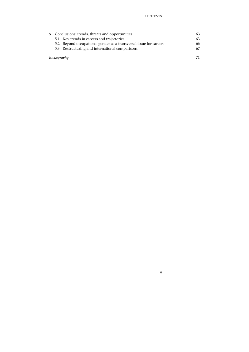| 5 Conclusions: trends, threats and opportunities                  |                                            |    |  |  |  |  |
|-------------------------------------------------------------------|--------------------------------------------|----|--|--|--|--|
|                                                                   | 5.1 Key trends in careers and trajectories | 63 |  |  |  |  |
| 5.2 Beyond occupations: gender as a transversal issue for careers |                                            |    |  |  |  |  |
| 5.3 Restructuring and international comparisons                   |                                            |    |  |  |  |  |
|                                                                   |                                            |    |  |  |  |  |
|                                                                   | Bibliography                               |    |  |  |  |  |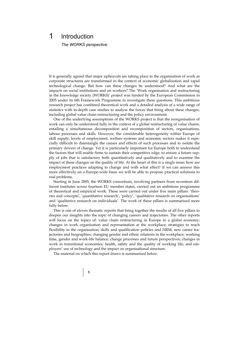# 1 Introduction

*The WORKS perspective* 

It is generally agreed that major upheavals are taking place in the organisation of work as corporate structures are transformed in the context of economic globalisation and rapid technological change. But how can these changes be understood? And what are the impacts on social institutions and on workers? The 'Work organisation and restructuring in the knowledge society (WORKS)' project was funded by the European Commission in 2005 under its 6th Framework Programme to investigate these questions. This ambitious research project has combined theoretical work and a detailed analysis of a wide range of statistics with in-depth case studies to analyse the forces that bring about these changes, including global value chain restructuring and the policy environment.

One of the underlying assumptions of the WORKS project is that the reorganisation of work can only be understood fully in the context of a global restructuring of value chains, entailing a simultaneous decomposition and recomposition of sectors, organisations, labour processes and skills. However, the considerable heterogeneity within Europe of skill supply, levels of employment, welfare systems and economic sectors makes it especially difficult to disentangle the causes and effects of such processes and to isolate the primary drivers of change. Yet it is particularly important for Europe both to understand the factors that will enable firms to sustain their competitive edge, to ensure a future supply of jobs that is satisfactory both quantitatively and qualitatively and to examine the impact of these changes on the quality of life. At the heart of this is a single issue: how are employment practices adapting to change and with what effect? If we can answer this more effectively on a Europe-wide basis we will be able to propose practical solutions to real problems.

Starting in June 2005, the WORKS consortium, involving partners from seventeen different institutes across fourteen EU member states, carried out an ambitious programme of theoretical and empirical work. These were carried out under five main pillars: 'theories and concepts', 'quantitative research', 'policy', 'qualitative research on organisations' and 'qualitative research on individuals'. The work of these pillars is summarised more fully below.

This is one of eleven thematic reports that bring together the results of all five pillars to deepen our insights into the topic of changing careers and trajectories. The other reports will focus on the topics of: value chain restructuring in Europe in a global economy; changes in work organisation and representation at the workplace; strategies to reach flexibility in the organisation; skills and qualification policies and HRM; new career trajectories and biographies; changing gender and ethnic relations in the workplace; working time, gender and work-life balance; change processes and future perspectives; changes in work in transitional economies; health, safety and the quality of working life; and employers' use of technology and the impact on organisational structure.

The material on which this report draws is summarised below.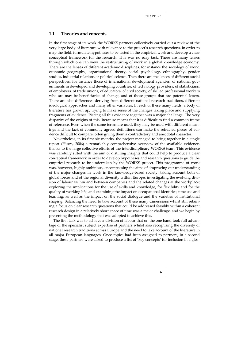#### **1.1 Theories and concepts**

In the first stage of its work the WORKS partners collectively carried out a review of the very large body of literature with relevance to the project's research questions, in order to map the field, formulate hypotheses to be tested in the empirical work and develop a clear conceptual framework for the research. This was no easy task. There are many lenses through which one can view the restructuring of work in a global knowledge economy. There are the lenses of different academic disciplines, for instance the sociology of work, economic geography, organisational theory, social psychology, ethnography, gender studies, industrial relations or political science. Then there are the lenses of different social perspectives, for instance those of international development agencies, of national governments in developed and developing countries, of technology providers, of statisticians, of employers, of trade unions, of educators, of civil society, of skilled professional workers who are may be beneficiaries of change, and of those groups that are potential losers. There are also differences deriving from different national research traditions, different ideological approaches and many other variables. In each of these many fields, a body of literature has grown up, trying to make sense of the changes taking place and supplying fragments of evidence. Piecing all this evidence together was a major challenge. The very disparity of the origins of this literature means that it is difficult to find a common frame of reference. Even when the same terms are used, they may be used with different meanings and the lack of commonly agreed definitions can make the refracted pieces of evidence difficult to compare, often giving them a contradictory and anecdotal character.

Nevertheless, in its first six months, the project managed to bring together in a single report (Huws, 2006) a remarkably comprehensive overview of the available evidence, thanks to the large collective efforts of the interdisciplinary WORKS team. This evidence was carefully sifted with the aim of distilling insights that could help to produce a clear conceptual framework in order to develop hypotheses and research questions to guide the empirical research to be undertaken by the WORKS project. This programme of work was, however, highly ambitious, encompassing the aims of: improving our understanding of the major changes in work in the knowledge-based society, taking account both of global forces and of the regional diversity within Europe; investigating the evolving division of labour within and between companies and the related changes at the workplace; exploring the implications for the use of skills and knowledge, for flexibility and for the quality of working life; and examining the impact on occupational identities; time use and learning; as well as the impact on the social dialogue and the varieties of institutional shaping. Balancing the need to take account of these many dimensions whilst still retaining a focus on clear research questions that could be addressed feasibly within a coherent research design in a relatively short space of time was a major challenge, and we begin by presenting the methodology that was adopted to achieve this.

The first task was to achieve a division of labour that on the one hand took full advantage of the specialist subject expertise of partners whilst also recognising the diversity of national research traditions across Europe and the need to take account of the literature in all major European languages. Once topics had been assigned to partners, in a second stage, these partners were asked to produce a list of 'key concepts' for inclusion in a glos-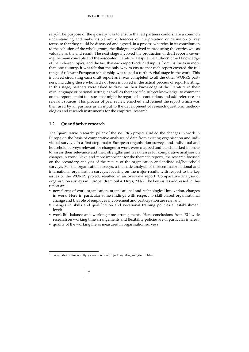sary.<sup>1</sup> The purpose of the glossary was to ensure that all partners could share a common understanding and make visible any differences of interpretation or definition of key terms so that they could be discussed and agreed, in a process whereby, in its contribution to the cohesion of the whole group, the dialogue involved in producing the entries was as valuable as the end result. The next stage involved the production of draft reports covering the main concepts and the associated literature. Despite the authors' broad knowledge of their chosen topics, and the fact that each report included inputs from institutes in more than one country, it was felt that the only way to ensure that each report covered the full range of relevant European scholarship was to add a further, vital stage in the work. This involved circulating each draft report as it was completed to all the other WORKS partners, including those who had not been involved in the actual process of report-writing. In this stage, partners were asked to draw on their knowledge of the literature in their own language or national setting, as well as their specific subject knowledge, to comment on the reports, point to issues that might be regarded as contentious and add references to relevant sources. This process of peer review enriched and refined the report which was then used by all partners as an input to the development of research questions, methodologies and research instruments for the empirical research.

### **1.2 Quantitative research**

The 'quantitative research' pillar of the WORKS project studied the changes in work in Europe on the basis of comparative analyses of data from existing organisation and individual surveys. In a first step, major European organisation surveys and individual and household surveys relevant for changes in work were mapped and benchmarked in order to assess their relevance and their strengths and weaknesses for comparative analyses on changes in work. Next, and more important for the thematic reports, the research focused on the secondary analysis of the results of the organisation and individual/household surveys. For the organisation surveys, a thematic analysis of thirteen major national and international organisation surveys, focusing on the major results with respect to the key issues of the WORKS project, resulted in an overview report 'Comparative analysis of organisation surveys in Europe' (Ramioul & Huys, 2007). The key issues addressed in this report are:

- new forms of work organisation, organisational and technological innovation, changes in work. Here in particular some findings with respect to skill-biased organisational change and the role of employee involvement and participation are relevant;
- changes in skills and qualification and vocational training policies at establishment level;
- work-life balance and working time arrangements. Here conclusions from EU wide research on working time arrangements and flexibility policies are of particular interest;
- quality of the working life as measured in organisation surveys.

 $\overline{1}$ Available online on http://www.worksproject.be/Glos\_and\_defint.htm

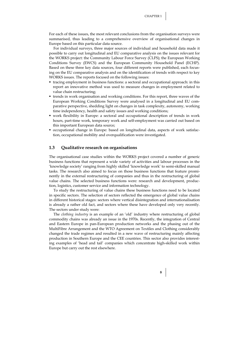For each of these issues, the most relevant conclusions from the organisation surveys were summarised, thus leading to a comprehensive overview of organisational changes in Europe based on this particular data source.

For individual surveys, three major sources of individual and household data made it possible to carry out longitudinal and EU comparative analysis on the issues relevant for the WORKS project: the Community Labour Force Survey (CLFS); the European Working Conditions Survey (EWCS) and the European Community Household Panel (ECHP). Based on these three key data sources, four different reports were published, each focusing on the EU comparative analysis and on the identification of trends with respect to key WORKS issues. The reports focused on the following issues:

- tracing employment in business functions: a sectoral and occupational approach: in this report an innovative method was used to measure changes in employment related to value chain restructuring;
- trends in work organisation and working conditions. For this report, three waves of the European Working Conditions Survey were analysed in a longitudinal and EU comparative perspective, shedding light on changes in task complexity, autonomy, working time independency, health and safety issues and working conditions;
- work flexibility in Europe: a sectoral and occupational description of trends in work hours, part-time work, temporary work and self-employment was carried out based on this important European data source;
- occupational change in Europe: based on longitudinal data, aspects of work satisfaction, occupational mobility and overqualification were investigated.

#### **1.3 Qualitative research on organisations**

The organisational case studies within the WORKS project covered a number of generic business functions that represent a wide variety of activities and labour processes in the 'knowledge society' ranging from highly skilled 'knowledge work' to semi-skilled manual tasks. The research also aimed to focus on those business functions that feature prominently in the external restructuring of companies and thus in the restructuring of global value chains. The selected business functions were: research and development, production, logistics, customer service and information technology.

To study the restructuring of value chains these business functions need to be located in specific sectors. The selection of sectors reflected the emergence of global value chains in different historical stages: sectors where vertical disintegration and internationalisation is already a rather old fact, and sectors where these have developed only very recently. The sectors under study were:

The *clothing industry* is an example of an 'old' industry where restructuring of global commodity chains was already an issue in the 1970s. Recently, the integration of Central and Eastern Europe in pan-European production networks and the phasing out of the MultiFibre Arrangement and the WTO Agreement on Textiles and Clothing considerably changed the trade regimes and resulted in a new wave of restructuring mainly affecting production in Southern Europe and the CEE countries. This sector also provides interesting examples of 'head and tail' companies which concentrate high-skilled work within Europe but carry out the rest elsewhere.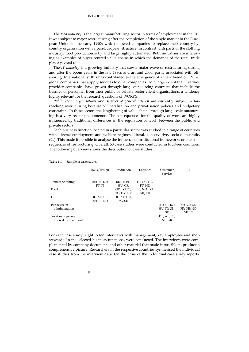The *food industry* is the largest manufacturing sector in terms of employment in the EU. It was subject to major restructuring after the completion of the single market in the European Union in the early 1990s which allowed companies to replace their country-bycountry organisation with a pan-European structure. In contrast with parts of the clothing industry, food production is by and large highly automated. Both industries are interesting as examples of buyer-centred value chains in which the demands of the retail trade play a pivotal role.

The *IT industry* is a growing industry that saw a major wave of restructuring during and after the boom years in the late 1990s and around 2000, partly associated with offshoring. Internationally, this has contributed to the emergence of a 'new breed of TNCs', global companies that supply services to other companies. To a large extent the IT service provider companies have grown through large outsourcing contracts that include the transfer of personnel from their public or private sector client organisations, a tendency highly relevant for the research questions of WORKS.

*Public sector organisations* and *services of general interest* are currently subject to farreaching restructuring because of liberalisation and privatisation policies and budgetary constraints. In these sectors the lengthening of value chains through large scale outsourcing is a very recent phenomenon. The consequences for the quality of work are highly influenced by traditional differences in the regulation of work between the public and private sectors.

Each business function located in a particular sector was studied in a range of countries with diverse employment and welfare regimes (liberal, conservative, socio-democratic, *etc.*). This made it possible to analyse the influence of institutional frameworks on the consequences of restructuring. Overall, 58 case studies were conducted in fourteen countries. The following overview shows the distribution of case studies.

|                                                | $R&D$ /design             | Production                | Logistics             | Customer<br>service               | <b>IT</b>                            |
|------------------------------------------------|---------------------------|---------------------------|-----------------------|-----------------------------------|--------------------------------------|
| Textiles/clothing                              | BE; FR; DE;<br>PT:IT      | $BE$ ; IT; PT;<br>HU; GR  | FR; DE; NL;<br>PT: HU |                                   |                                      |
| Food                                           |                           | GR; BG; IT;<br>NO: DK: UK | BE; NO; BG;<br>GR; UK |                                   |                                      |
| <b>IT</b>                                      | DE; AT; UK;<br>BE: FR: NO | DE; AT; HU;<br>BG:SE      |                       |                                   |                                      |
| Public sector<br>administration                |                           |                           |                       | AT: BE: BG:<br>HU; IT; UK;<br>SE. | BE; NL; UK;<br>FR; DE; NO;<br>SE; PT |
| Services of general<br>interest: post and rail |                           |                           |                       | $DE$ ; $AT$ ; $SE$ ;<br>NL; GR    |                                      |

#### **Table 1.1** Sample of case studies

For each case study, eight to ten interviews with management, key employees and shop stewards (in the selected business functions) were conducted. The interviews were complemented by company documents and other material that made it possible to produce a comprehensive picture. Researchers in the respective countries synthesised the individual case studies from the interview data. On the basis of the individual case study reports,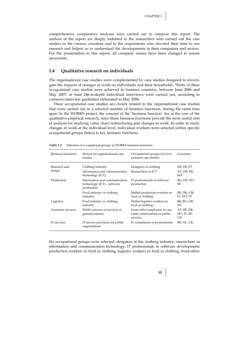comprehensive comparative analyses were carried out to compose this report. The authors of the report are deeply indebted to the researchers who carried out the case studies in the various countries and to the respondents who devoted their time to our research and helped us to understand the developments in their companies and sectors. For the presentation in this report, all company names have been changed to assure anonymity.

#### **1.4 Qualitative research on individuals**

The organisational case studies were complemented by case studies designed to investigate the impacts of changes at work on individuals and their households. Thirty of these occupational case studies were achieved in fourteen countries, between June 2006 and May 2007; in total 246 in-depth individual interviews were carried out, according to common interview guidelines elaborated in May 2006.

These occupational case studies are closely related to the organisational case studies that were carried out in a selected number of business functions, during the same time span. In the WORKS project, the concept of the 'business function' lies at the core of the qualitative empirical research, since these business functions provide the most useful unit of analysis for studying value chain restructuring and changes in work. In order to study changes in work at the individual level, individual workers were selected within specific occupational groups linked to key business functions.

| Business functions     | Sectors for organisational case<br>studies                                 | Occupational groups for occu-<br>pational case studies                      | Countries                        |
|------------------------|----------------------------------------------------------------------------|-----------------------------------------------------------------------------|----------------------------------|
| Research and<br>design | Clothing industry<br>Information and communication<br>technology (ICT)     | Designers in clothing<br>Researchers in ICT                                 | DE; FR; PT<br>AT; DE; FR;<br>NO. |
| Production             | Information and communication<br>technology (ICT) - software<br>production | IT professionals in software<br>production                                  | BG; DE; HU;<br><b>SE</b>         |
|                        | Food industry or clothing<br>industry                                      | Skilled production workers in<br>food or clothing                           | BE; DK; GR;<br>IT; NO; PT        |
| Logistics              | Food industry or clothing<br>industry                                      | Skilled logistics workers in<br>food or clothing                            | BE; BG; GR;<br>NL                |
| Customer services      | Public services or services of<br>general interest                         | Front-office employees in cus-<br>tomer relationships in public<br>services | AT; BE; DE;<br>HU; IT; SE;<br>UK |
| IT services            | IT service provision for public<br>organisations                           | IT consultants or professionals                                             | BE; NL; UK                       |

**Table 1.2** Selection of occupational groups in WORKS business functions

Six occupational groups were selected: designers in the clothing industry; researchers in information and communication technology; IT professionals in software development; production workers in food or clothing; logistics workers in food or clothing; front-office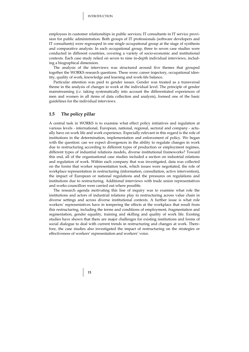employees in customer relationships in public services; IT consultants in IT service provision for public administration. Both groups of IT professionals (software developers and IT consultants) were regrouped in one single occupational group at the stage of synthesis and comparative analysis. In each occupational group, three to seven case studies were conducted in different countries, covering a variety of socio-economic and institutional contexts. Each case study relied on seven to nine in-depth individual interviews, including a biographical dimension.

The analysis of the interviews was structured around five themes that grouped together the WORKS research questions. These were: career trajectory, occupational identity, quality of work, knowledge and learning and work-life balance.

Particular attention was paid to gender issues. Gender was treated as a transversal theme in the analysis of changes in work at the individual level. The principle of gender mainstreaming (*i.e.* taking systematically into account the differentiated experiences of men and women in all items of data collection and analysis), formed one of the basic guidelines for the individual interviews.

## **1.5 The policy pillar**

A central task in WORKS is to examine what effect policy initiatives and regulation at various levels - international, European, national, regional, sectoral and company - actually have on work life and work experience. Especially relevant in this regard is the role of institutions in the determination, implementation and enforcement of policy. We began with the question: can we expect divergences in the ability to regulate changes in work due to restructuring according to different types of production or employment regimes, different types of industrial relations models, diverse institutional frameworks? Toward this end, all of the organisational case studies included a section on industrial relations and regulation of work. Within each company that was investigated, data was collected on the forms that worker representation took, which issues were negotiated, the role of workplace representation in restructuring (information, consultation, active intervention), the impact of European or national regulations and the pressures on regulations and institutions due to restructuring. Additional interviews with trade union representatives and works councillors were carried out where possible.

The research agenda motivating this line of inquiry was to examine what role the institutions and actors of industrial relations play in restructuring across value chain in diverse settings and across diverse institutional contexts. A further issue is what role workers*'* representatives have in tempering the effects at the workplace that result from this restructuring, including the terms and conditions of employment, fragmentation and segmentation, gender equality, training and skilling and quality of work life. Existing studies have shown that there are major challenges for existing institutions and forms of social dialogue to deal with current trends in restructuring and changes at work. Therefore, the case studies also investigated the impact of restructuring on the strategies or effectiveness of workers' representation and workers' voice.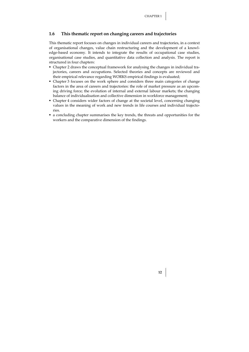### **1.6 This thematic report on changing careers and trajectories**

This thematic report focuses on changes in individual careers and trajectories, in a context of organisational changes, value chain restructuring and the development of a knowledge-based economy. It intends to integrate the results of occupational case studies, organisational case studies, and quantitative data collection and analysis. The report is structured in four chapters:

- Chapter 2 draws the conceptual framework for analysing the changes in individual trajectories, careers and occupations. Selected theories and concepts are reviewed and their empirical relevance regarding WORKS empirical findings is evaluated;
- Chapter 3 focuses on the work sphere and considers three main categories of change factors in the area of careers and trajectories: the role of market pressure as an upcoming driving force; the evolution of internal and external labour markets; the changing balance of individualisation and collective dimension in workforce management;
- Chapter 4 considers wider factors of change at the societal level, concerning changing values in the meaning of work and new trends in life courses and individual trajectories.
- a concluding chapter summarises the key trends, the threats and opportunities for the workers and the comparative dimension of the findings.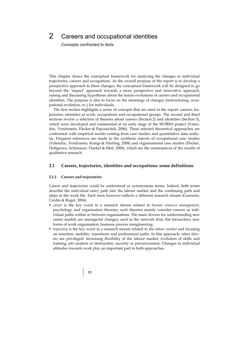## 2 Careers and occupational identities

*Concepts confronted to facts* 

This chapter draws the conceptual framework for analysing the changes in individual trajectories, careers and occupations. As the overall purpose of the report is to develop a prospective approach to these changes, the conceptual framework will be designed to go beyond the 'impact' approach towards a more prospective and innovative approach, raising and discussing hypotheses about the future evolutions of careers and occupational identities. The purpose is also to focus on the meanings of changes (restructuring, occupational evolution, *etc*.) for individuals.

The first section highlights a series of concepts that are used in the report: careers; trajectories; identities at work; occupations and occupational groups. The second and third sections review a selection of theories about careers (Section 2) and identities (Section 3), which were developed and commented at an early stage of the WORKS project (Valenduc, Vendramin, Flecker & Papouschek, 2006). These selected theoretical approaches are confronted with empirical results coming from case studies and quantitative data analysis. Frequent references are made to the synthesis reports of occupational case studies (Valenduc, Vendramin, Krings & Nierling, 2008) and organisational case studies (Flecker, Holtgrewe, Schönauer, Dunkel & Meil*,* 2008), which are the masterpieces of the results of qualitative research.

#### **2.1 Careers, trajectories, identities and occupations: some definitions**

#### **2.1.1 Careers and trajectories**

Career and trajectories could be understood as synonymous terms. Indeed, both terms describe the individual entry path into the labour market and the continuing path and steps in the work life. Each term however reflects a different research stream (Guerrero, Cerdin & Roger, 2004):

- *career* is the key word in a research stream related to *human resource management*, psychology and organisation theories; such theories mainly consider careers as individual paths within or between organisations. The main drivers for understanding new career models are managerial changes, such as the network firm, flat hierarchies, new forms of work organisation, business process reengineering;
- *trajectory* is the key word in a research stream related to the *labour market* and focusing on insertion, mobility, transitions and professional paths. In this approach, other drivers are privileged: increasing flexibility of the labour market, evolution of skills and training, job creation or destruction, security or precariousness. Changes in individual attitudes towards work play an important part in both approaches.

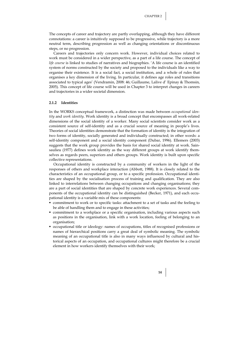The concepts of career and trajectory are partly overlapping, although they have different connotations: a career is intuitively supposed to be progressive, while trajectory is a more neutral term, describing progression as well as changing orientations or discontinuous steps, or no progression.

Careers and trajectories only concern work. However, individual choices related to work must be considered in a wider perspective, as a part of a life course. The concept of *life course* is linked to studies of narratives and biographies. 'A life course is an identified system of norms constructed by the society and proposed to the individuals like a way to organise their existence. It is a social fact, a social institution, and a whole of rules that organises a key dimension of the living. In particular, it defines age roles and transitions associated to typical ages' (Vendramin, 2008: 46; Guillaume, Lalive d' Epinay & Thomsin, 2005). This concept of life course will be used in Chapter 3 to interpret changes in careers and trajectories in a wider societal dimension.

#### **2.1.2 Identities**

In the WORKS conceptual framework, a distinction was made between *occupational identity* and *work identity*. Work identity is a broad concept that encompasses all work-related dimensions of the social identity of a worker. Many social scientists consider work as a consistent source of self-identity and as a crucial source of meaning in people's lives. Theories of social identities demonstrate that the formation of identity is the integration of two forms of identity, socially generated and individually constructed; in other words: a self-identity component and a social identity component (Dubar, 1996). Ellemers (2003) suggests that the work group provides the basis for shared social identity at work. Sainsaulieu (1977) defines work identity as the way different groups at work identify themselves as regards peers, superiors and others groups. Work identity is built upon specific collective representations.

Occupational identity is constructed by a community of workers in the light of the responses of others and workplace interaction (Abbott, 1988). It is closely related to the characteristics of an occupational group, or to a specific profession. Occupational identities are shaped by the socialisation process of training and qualification. They are also linked to interrelations between changing occupations and changing organisations; they are a part of social identities that are shaped by concrete work experiences. Several components of the occupational identity can be distinguished (Becker, 1971), and each occupational identity is a variable mix of these components:

- commitment to work or to specific tasks: attachment to a set of tasks and the feeling to be able of handling them and to engage in these activities;
- commitment to a workplace or a specific organisation, including various aspects such as positions in the organisation, link with a work location, feeling of belonging to an organisation;
- occupational title or ideology: names of occupations, titles of recognised professions or names of hierarchical positions carry a great deal of symbolic meaning. The symbolic meaning of an occupational title is also in many ways influenced by cultural and historical aspects of an occupation, and occupational cultures might therefore be a crucial element in how workers identify themselves with their work;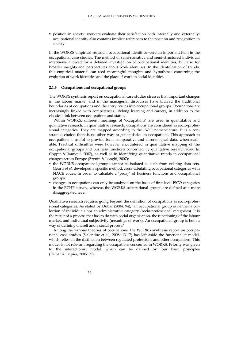position in society: workers evaluate their satisfaction both internally and externally; occupational identity also contains implicit references to the position and recognition in society.

In the WORKS empirical research, occupational identities were an important item in the occupational case studies. The method of semi-narrative and semi-structured individual interviews allowed for a detailed investigation of occupational identities, but also for broader insights and perspectives about work identities. In the identification of trends, this empirical material can feed meaningful thoughts and hypotheses concerning the evolution of work identities and the place of work in social identities.

#### **2.1.3 Occupations and occupational groups**

The WORKS synthesis report on occupational case studies stresses that important changes in the labour market and in the managerial discourses have blurred the traditional boundaries of occupations and the entry routes into occupational groups. Occupations are increasingly linked with competences, lifelong learning and careers, in addition to the classical link between occupations and status.

Within WORKS, different meanings of 'occupations' are used in quantitative and qualitative research. In quantitative research, occupations are considered as socio-professional categories. They are mapped according to the ISCO nomenclature. It is a constrained choice: there is no other way to get statistics on occupations. This approach to occupations is useful to provide basic comparative and chronological data, when available. Practical difficulties were however encountered in quantitative mapping of the occupational groups and business functions concerned by qualitative research (Geurts, Coppin & Ramioul, 2007), as well as in identifying quantitative trends in occupational changes across Europe (Brynin & Longhi, 2007):

- the WORKS occupational groups cannot be isolated as such from existing data sets. Geurts *et al.* developed a specific method, cross-tabulating occupational categories with NACE codes, in order to calculate a 'proxy' of business functions and occupational groups;
- changes in occupations can only be analysed on the basis of first-level ISCO categories in the ECHP survey, whereas the WORKS occupational groups are defined at a more disaggregated level.

Qualitative research requires going beyond the definition of occupations as socio-professional categories. As stated by Dubar (2004: 94), 'an occupational group is neither a collection of individuals nor an administrative category (socio-professional categories). It is the result of a process that has to do with social organisation, the functioning of the labour market, and individual subjectivity (meanings of work). An occupational group is both a way of defining oneself and a social process.'

Among the various theories of occupations, the WORKS synthesis report on occupational case studies (Valenduc *et al.*, 2008: 13-17) has left aside the functionalist model, which relies on the distinction between regulated professions and other occupations. This model is not relevant regarding the occupations concerned in WORKS. Priority was given to the interactionist model, which can be defined by four basic principles (Dubar & Tripier, 2005: 90):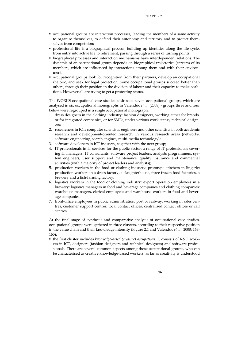- occupational groups are interaction processes, leading the members of a same activity to organise themselves, to defend their autonomy and territory and to protect themselves from competition;
- professional life is a biographical process, building up identities along the life cycle, from entry into active life to retirement, passing through a series of turning points;
- biographical processes and interaction mechanisms have interdependent relations. The dynamic of an occupational group depends on biographical trajectories (careers) of its members, which are influenced by interactions among them and with their environment;
- occupational groups look for recognition from their partners, develop an occupational rhetoric, and seek for legal protection. Some occupational groups succeed better than others, through their position in the division of labour and their capacity to make coalitions. However all are trying to get a protecting status.

The WORKS occupational case studies addressed seven occupational groups, which are analysed in six occupational monographs in Valenduc *et al.* (2008) - groups three and four below were regrouped in a single occupational monograph:

- 1. dress designers in the clothing industry: fashion designers, working either for brands, or for integrated companies, or for SMEs, under various work status; technical designers;
- 2. researchers in ICT: computer scientists, engineers and other scientists in both academic research and development-oriented research, in various research areas (networks, software engineering, search engines, multi-media technology);
- 3. software developers in ICT industry, together with the next group;
- 4. IT professionals in IT services for the public sector: a range of IT professionals covering IT managers, IT consultants, software project leaders, analysts programmers, system engineers, user support and maintenance, quality insurance and commercial activities (with a majority of project leaders and analysts);
- 5. production workers in the food or clothing industry: prototype stitchers in lingerie; production workers in a dress factory, a slaughterhouse, three frozen food factories, a brewery and a fish-farming factory;
- 6. logistics workers in the food or clothing industry: export operation employees in a brewery; logistics managers in food and beverage companies and clothing companies; warehouse managers, clerical employees and warehouse workers in food and beverage companies;
- 7. front-office employees in public administration, post or railway, working in sales centres, customer support centres, local contact offices, centralised contact offices or call centres.

At the final stage of synthesis and comparative analysis of occupational case studies, occupational groups were gathered in three clusters, according to their respective position in the value chain and their knowledge intensity (Figure 2.1 and Valenduc *et al.*, 2008: 163- 165):

 the first cluster includes *knowledge-based (creative) occupations*. It consists of R&D workers in ICT, designers (fashion designers and technical designers) and software professionals. There are several common aspects among those occupational groups, who can be characterised as creative knowledge-based workers, as far as creativity is understood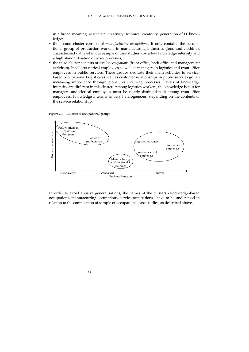in a broad meaning: aesthetical creativity, technical creativity, generation of IT knowledge;

- the second cluster consists of *manufacturing occupations*. It only contains the occupational group of production workers in manufacturing industries (food and clothing), characterised - at least in our sample of case studies - by a low knowledge intensity and a high standardisation of work processes;
- the third cluster consists of *service occupations* (front-office, back-office and management activities). It collects clerical employees as well as managers in logistics and front-office employees in public services. These groups dedicate their main activities to servicebased occupations. Logistics as well as customer relationships in public services got an increasing importance through global restructuring processes. Levels of knowledge intensity are different in this cluster. Among logistics workers, the knowledge issues for managers and clerical employees must be clearly distinguished; among front-office employees, knowledge intensity is very heterogeneous, depending on the contents of the service relationship.





In order to avoid abusive generalisations, the names of the clusters - knowledge-based occupations, manufacturing occupations, service occupations - have to be understood in relation to the composition of sample of occupational case studies, as described above.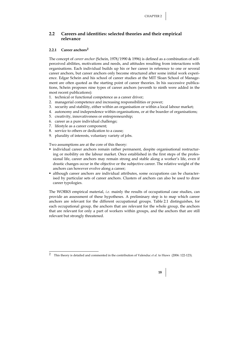### **2.2 Careers and identities: selected theories and their empirical relevance**

#### **2.2.1 Career anchors2**

The concept of *career anchor* (Schein, 1978/1990 & 1996) is defined as a combination of selfperceived abilities, motivations and needs, and attitudes resulting from interactions with organisations. Each individual builds up his or her career in reference to one or several career anchors, but career anchors only become structured after some initial work experience. Edgar Schein and his school of career studies at the MIT Sloan School of Management are often quoted as the starting point of career theories. In his successive publications, Schein proposes nine types of career anchors (seventh to ninth were added in the most recent publications):

- 1. technical or functional competence as a career driver;
- 2. managerial competence and increasing responsibilities or power;
- 3. security and stability, either within an organisation or within a local labour market;
- 4. autonomy and independence within organisations, or at the boarder of organisations;
- 5. creativity, innovativeness or entrepreneurship;
- 6. career as a pure individual challenge;
- 7. lifestyle as a career component;
- 8. service to others or dedication to a cause;
- 9. plurality of interests, voluntary variety of jobs.

Two assumptions are at the core of this theory:

- $\blacksquare$  individual career anchors remain rather permanent, despite organisational restructuring or mobility on the labour market. Once established in the first steps of the professional life, career anchors may remain strong and stable along a worker's life, even if drastic changes occur in the objective or the subjective career. The relative weight of the anchors can however evolve along a career;
- although career anchors are individual attributes, some occupations can be characterised by particular sets of career anchors. Clusters of anchors can also be used to draw career typologies.

The WORKS empirical material, *i.e.* mainly the results of occupational case studies, can provide an assessment of these hypotheses. A preliminary step is to map which career anchors are relevant for the different occupational groups. Table 2.1 distinguishes, for each occupational group, the anchors that are relevant for the whole group, the anchors that are relevant for only a part of workers within groups, and the anchors that are still relevant but strongly threatened.

 $\overline{2}$ 2 This theory is detailed and commented in the contribution of Valenduc *et al.* to Huws (2006: 122-123).

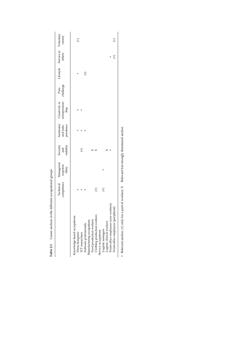|                                       | competence      | Technical Managerial<br>responsi-<br>bility | Security<br>stability<br>and | and inde-<br>pendence | entrepreneur- challenge<br>Autonomy Creativity or<br>ship | Pure |               | Lifestyle Service to Voluntary<br>others | variety                 |
|---------------------------------------|-----------------|---------------------------------------------|------------------------------|-----------------------|-----------------------------------------------------------|------|---------------|------------------------------------------|-------------------------|
| Knowledge-based occupations           |                 |                                             |                              |                       |                                                           |      |               |                                          |                         |
| Dress designers                       |                 |                                             |                              |                       |                                                           |      |               |                                          | $\widehat{\mathcal{F}}$ |
| ICT researchers                       |                 |                                             | $\widehat{\pm}$              |                       |                                                           |      |               |                                          |                         |
| Software professionals                |                 |                                             |                              |                       |                                                           |      | $\widehat{f}$ |                                          |                         |
| Manufacturing occupations             |                 |                                             |                              |                       |                                                           |      |               |                                          |                         |
| Food production workers               |                 |                                             | $\times$                     |                       |                                                           |      |               |                                          |                         |
| Clothing production workers           | $\bigoplus$     |                                             | ×                            |                       |                                                           |      |               |                                          |                         |
| Service occupations                   |                 |                                             |                              |                       |                                                           |      |               |                                          |                         |
| Logistic managers                     | $\widehat{\pm}$ |                                             |                              |                       |                                                           |      |               |                                          |                         |
| Logistic clerical workers             |                 |                                             | ×                            |                       |                                                           |      |               |                                          |                         |
| Front-office employees (core workers) |                 |                                             | $\ddot{}$                    |                       |                                                           |      |               |                                          |                         |
| Front-office employees (peripheral)   |                 |                                             |                              |                       |                                                           |      |               | $\begin{matrix} \pm \end{matrix}$        | $\widehat{f}$           |

Table 2.1 Career anchors in the different occupational groups **Table 2.1** Career anchors in the different occupational groups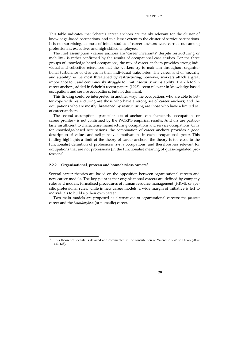This table indicates that Schein's career anchors are mainly relevant for the cluster of knowledge-based occupations, and to a lesser extent to the cluster of service occupations. It is not surprising, as most of initial studies of career anchors were carried out among professionals, executives and high-skilled employees.

The first assumption - career anchors are 'career invariants' despite restructuring or mobility - is rather confirmed by the results of occupational case studies. For the three groups of knowledge-based occupations, the mix of career anchors provides strong individual and collective references that the workers try to maintain throughout organisational turbulence or changes in their individual trajectories. The career anchor 'security and stability' is the most threatened by restructuring; however, workers attach a great importance to it and continuously struggle to limit insecurity or instability. The 7th to 9th career anchors, added in Schein's recent papers (1996), seem relevant in knowledge-based occupations and service occupations, but not dominant.

This finding could be interpreted in another way: the occupations who are able to better cope with restructuring are those who have a strong set of career anchors; and the occupations who are mostly threatened by restructuring are those who have a limited set of career anchors.

The second assumption - particular sets of anchors can characterise occupations or career profiles - is not confirmed by the WORKS empirical results. Anchors are particularly insufficient to characterise manufacturing occupations and service occupations. Only for knowledge-based occupations, the combination of career anchors provides a good description of values and self-perceived motivations in each occupational group. This finding highlights a limit of the theory of career anchors: the theory is too close to the functionalist definition of professions *versus* occupations, and therefore less relevant for occupations that are not professions (in the functionalist meaning of quasi-regulated professions).

#### **2.2.2 Organisational, protean and boundaryless careers3**

 $\overline{a}$ 

Several career theories are based on the opposition between organisational careers and new career models. The key point is that organisational careers are defined by company rules and models, formalised procedures of human resource management (HRM), or specific professional rules, while in new career models, a wide margin of initiative is left to individuals to build up their own career.

Two main models are proposed as alternatives to organisational careers: the *protean* career and the *boundaryless* (or nomadic) career.



<sup>3</sup> This theoretical debate is detailed and commented in the contribution of Valenduc *et al.* to Huws (2006: 123-128).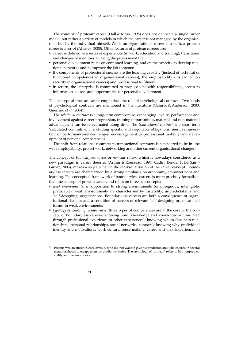The concept of protean<sup>4</sup> career (Hall & Moss, 1998) does not delineate a single career model, but rather a variety of models in which the career is not managed by the organisation, but by the individual himself. While an organisational career is a path, a protean career is a script (Alvarez, 2000). Other features of protean careers are:

- career is defined as a series of experiences (in work, education and training), transitions, and changes of identities all along the professional life;
- personal development relies on continued learning, and on the capacity to develop relational networks and to improve the job contents;
- the components of professional success are the learning capacity (instead of technical or functional competences in organisational careers), the employability (instead of job security in organisational careers) and professional fulfilment;
- in return, the enterprise is committed to propose jobs with responsibilities, access to information sources and opportunities for personal development.

The concept of protean career emphasises the role of psychological contracts. Two kinds of psychological contracts are mentioned in the literature (Galunic & Anderson, 2000; Guerrero *et al.*, 2004).

The *relational contract* is a long-term compromise, exchanging loyalty, performance and involvement against career progression, training opportunities, material and non-material advantages; it can be re-evaluated along time. The *transactional contract* is a short-term 'calculated commitment', including specific and negotiable obligations, merit remuneration or performance-related wages, encouragement to professional mobility and development of personal competencies.

The shift from relational contracts to transactional contracts is considered to be in line with employability, project work, networking and other current organisational changes.

The concept of *boundaryless career* or *nomadic career*, which is nowadays considered as a new paradigm in career theories (Arthur & Rousseau, 1996; Cadin, Bender & De Saint-Giniez, 2003), makes a step further in the individualisation of the career concept. Boundaryless careers are characterised by a strong emphasis on autonomy, empowerment and learning. The conceptual framework of boundaryless careers is more precisely formalised than the concept of protean career, and relies on three subconcepts:

- *weak environments:* in opposition to strong environments (unambiguous, intelligible, predicable), weak environments are characterised by instability, unpredictability and 'self-designing' organisations. Boundaryless careers are both a consequence of organisational changes and a condition of success of relevant 'self-designing organisational forms' in weak environments;
- *typology of 'knowing' competences*: three types of competences are at the core of the concept of boundaryless careers: knowing how (knowledge and know-how accumulated through professional experience or other experiences); knowing whom (business relationships, personal relationships, social networks, contacts); knowing why (individual identity and motivations, work culture, sense making, career anchors). Experiences in

 $\overline{A}$ Proteus was an ancient Greek divinity who did not want to give his prediction and who entered in several metamorphoses to escape from his predictive duties. The etymology of 'protean' refers to both unpredictability and metamorphosis.

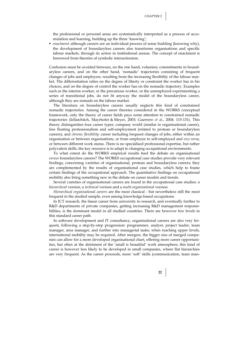the professional or personal areas are systematically interpreted as a process of accumulation and learning, building up the three 'knowing';

 *enactment*: although careers are an individual process of sense building (knowing why), the development of boundaryless careers also transforms organisations and specific labour markets, through its action in institutional arenas. The concept of enactment is borrowed from theories of symbolic interactionism.

Confusion must be avoided between, on the one hand, voluntary commitments in boundaryless careers, and on the other hand, 'nomadic' trajectories consisting of frequent changes of jobs and employers, resulting from the increasing flexibility of the labour market. The differentiation relies on the degree of liberty or constraint the worker has in his choices, and on the degree of control the worker has on the nomadic trajectory. Examples such as the interim worker, or the precarious worker, or the unemployed experimenting a series of transitional jobs, do not fit anyway the model of the boundaryless career, although they are nomads on the labour market.

The literature on boundaryless careers usually neglects this kind of constrained nomadic trajectories. Among the career theories considered in the WORKS conceptual framework, only the theory of career fields pays some attention to constrained nomadic trajectories (Iellatchitch, Mayrhofer & Meyer, 2003; Guerrero *et al.*, 2004: 115-131). This theory distinguishes four career types: company world (similar to organisational career), free floating professionalism and self-employment (related to protean or boundaryless careers), and *chronic flexibility*: career including frequent changes of jobs, either within an organisation or between organisations, or from employee to self-employed and *vice versa*, or between different work status. There is no specialised professional expertise, but rather polyvalent skills; the key resource is to adapt to changing occupational environments.

To what extent do the WORKS empirical results feed the debate on organisational *versus* boundaryless careers? The WORKS occupational case studies provide very relevant findings, concerning varieties of organisational, protean and boundaryless careers; they are complemented by the results of organisational case studies, which help to frame certain findings of the occupational approach. The quantitative findings on occupational mobility also bring something new in the debate on career models and trends.

Several varieties of organisational careers are found in the occupational case studies: a *hierarchical* version, a *technical* version and a *multi-organisational* version.

*Hierarchical organisational careers* are the most classical - but nevertheless still the most frequent in the studied sample, even among knowledge-based occupations.

In ICT research, the linear career from university to research, and eventually further to R&D departments of private companies, getting increasing R&D management responsibilities, is the dominant model in all studied countries. There are however few levels in this standard career path.

In software development and IT consultancy, organisational careers are also very frequent, following a step-by-step progression: programmer, analyst, project leader, team manager, area manager, and further into managerial tasks; when reaching upper levels, international mobility may be required. After mergers, the bigger size of merged companies can allow for a more developed organisational chart, offering more career opportunities, but often at the detriment of the 'small is beautiful' work atmosphere; this kind of career is however less likely to be developed in small companies, where flat hierarchies are very frequent. As the career proceeds, more 'soft' skills (communication, team man-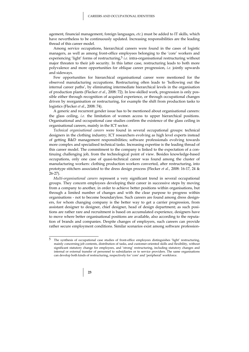agement, financial management, foreign languages, *etc*.) must be added to IT skills, which have nevertheless to be continuously updated. Increasing responsibilities are the leading thread of this career model.

Among service occupations, hierarchical careers were found in the cases of logistic managers, as well as among front-office employees belonging to the 'core' workers and experiencing 'light' forms of restructuring,5 *i.e.* intra-organisational restructuring without major threaten to their job security. In this latter case, restructuring leads to both more polyvalence and more opportunities for oblique career progression, *i.e.* jointly upwards and sideways.

Few opportunities for hierarchical organisational career were mentioned for the observed manufacturing occupations. Restructuring often leads to 'hollowing out the internal career paths', by eliminating intermediate hierarchical levels in the organisation of production plants (Flecker *et al.*, 2008: 72). In low-skilled work, progression is only possible either through recognition of acquired experience, or through occupational changes driven by reorganisation or restructuring, for example the shift from production tasks to logistics (Flecker *et al.*, 2008: 74).

A generic and recurrent gender issue has to be mentioned about organisational careers: the glass ceiling, *i.e.* the limitation of women access to upper hierarchical positions. Organisational and occupational case studies confirm the existence of the glass ceiling in organisational careers, mainly in the ICT sector.

*Technical organisational careers* were found in several occupational groups: technical designers in the clothing industry; ICT researchers evolving as high level experts instead of getting R&D management responsibilities; software professionals evolving towards more complex and specialised technical tasks. Increasing expertise is the leading thread of this career model. The commitment to the company is linked to the expectation of a continuing challenging job, from the technological point of view. Besides knowledge-based occupations, only one case of quasi-technical career was found among the cluster of manufacturing workers: clothing production workers converted, after restructuring, into prototype stitchers associated to the dress design process (Flecker *et al.*, 2008: 16-17, 24 & 26-27).

*Multi-organisational careers* represent a very significant trend in several occupational groups. They concern employees developing their career in successive steps by moving from a company to another, in order to achieve better positions within organisations, but through a limited number of changes and with the clear purpose to progress within organisations - not to become boundaryless. Such careers are found among dress designers, for whom changing company is the better way to get a carrier progression, from assistant designer to designer, chief designer, head of design department; as such positions are rather rare and recruitment is based on accumulated experience, designers have to move where better organisational positions are available, also according to the reputation of brands and companies. Despite changes of employers, such careers can provide rather secure employment conditions. Similar scenarios exist among software profession-

<sup>5</sup> 5 The synthesis of occupational case studies of front-office employees distinguishes 'light' restructuring, mainly concerning job contents, distribution of tasks, and customer-oriented skills and flexibility, without significant statutory change for employees, and 'strong' restructuring, including statutory changes and internal or external transfer of personnel to subsidiaries or to service providers. The same organisations can develop both kinds of restructuring, respectively for 'core' and 'peripheral' workforce.

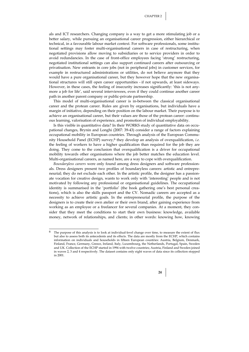als and ICT researchers. Changing company is a way to get a more stimulating job or a better salary, while pursuing an organisational career progression, either hierarchical or technical, in a favourable labour market context. For software professionals, some institutional settings may foster multi-organisational careers in case of restructuring, when negotiated provisions allow moving to subsidiaries or to service providers in order to avoid redundancies. In the case of front-office employees facing 'strong' restructuring, negotiated institutional settings can also support continued careers after outsourcing or privatisation. New entrants in core jobs (not in peripheral jobs) in customer services, for example in restructured administrations or utilities, do not believe anymore that they would have a pure organisational career, but they however hope that the new organisational structures will still open career opportunities - if not upwards, at least sideways. However, in these cases, the feeling of insecurity increases significantly: 'this is not anymore a job for life', said several interviewees, even if they could continue another career path in another parent company or public-private partnership.

This model of multi-organisational career is in-between the classical organisational career and the protean career. Rules are given by organisations, but individuals have a margin of initiative, depending on their position on the labour market. Their purpose is to achieve an organisational career, but their values are those of the protean career: continuous learning, valorisation of experience, and promotion of individual employability.

Is this visible in quantitative data? In their WORKS study of quantitative data on occupational changes, Brynin and Longhi (2007: 39-43) consider a range of factors explaining occupational mobility in European countries. Through analysis of the European Community Household Panel (ECHP) survey,6 they develop an analysis of overqualification, *i.e.* the feeling of workers to have a higher qualification than required for the job they are doing. They come to the conclusion that overqualification is a driver for occupational mobility towards other organisations where the job better matches the education level. Multi-organisational careers, as named here, are a way to cope with overqualification.

*Boundaryless careers* were only found among dress designers and software professionals. Dress designers present two profiles of boundaryless careers: artistic and entrepreneurial; they do net exclude each other. In the artistic profile, the designer has a passionate vocation for creative design, wants to work only with 'interesting' people and is not motivated by following any professional or organisational guidelines. The occupational identity is summarised in the 'portfolio' (the book gathering one's best personal creations), which is also the skills passport and the CV. Nomadic careers are accepted as a necessity to achieve artistic goals. In the entrepreneurial profile, the purpose of the designers is to create their own atelier or their own brand, after gaining experience from working as an employee or a freelancer for several companies. At a moment, they consider that they meet the conditions to start their own business: knowledge, available money, network of relationships, and clients; in other words: knowing how, knowing

<sup>6</sup> The purpose of this analysis is to look at individual-level change over time, to measure the extent of flux but also to assess both its antecedents and its effects. The data are mostly from the ECHP, which contains information on individuals and households in fifteen European countries: Austria, Belgium, Denmark, Finland, France, Germany, Greece, Ireland, Italy, Luxembourg, the Netherlands, Portugal, Spain, Sweden and UK. Collection of the ECHP started in 1994 with twelve countries; Austria, Finland and Sweden joined in waves 2, 3 and 4 respectively. The dataset contains only eight waves of data since its collection stopped in 2001.

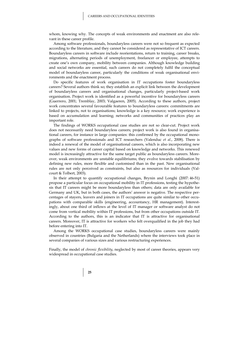whom, knowing why. The concepts of weak environments and enactment are also relevant in these career profile.

Among software professionals, boundaryless careers were not so frequent as expected according to the literature, and they cannot be considered as representative of ICT careers. Boundaryless careers in software include reorientations, return to training, career breaks, migrations, alternating periods of unemployment, freelancer or employee, attempts to create one's own company, mobility between companies. Although knowledge building and social networks are essential, such careers do not completely fulfil the conceptual model of boundaryless career, particularly the conditions of weak organisational environments and the enactment process.

Do specific features of work organisation in IT occupations foster boundaryless careers? Several authors think so; they establish an explicit link between the development of boundaryless careers and organisational changes, particularly project-based work organisation. Project work is identified as a powerful incentive for boundaryless careers (Guerrero, 2001; Tremblay, 2003; Valgaeren, 2005). According to these authors, project work concentrates several favourable features to boundaryless careers: commitments are linked to projects, not to organisations; knowledge is a key resource; work experience is based on accumulation and learning; networks and communities of practices play an important role.

The findings of WORKS occupational case studies are not so clear-cut. Project work does not necessarily need boundaryless careers; project work is also found in organisational careers, for instance in large companies: this confirmed by the occupational monographs of software professionals and ICT researchers (Valenduc *et al.*, 2008). There is indeed a renewal of the model of organisational careers, which is also incorporating new values and new forms of career capital based on knowledge and networks. This renewed model is increasingly attractive for the same target public as boundaryless careers. Moreover, weak environments are unstable equilibriums; they evolve towards stabilisation by defining new rules, more flexible and customised than in the past. New organisational rules are not only perceived as constraints, but also as resources for individuals (Valcourt & Tolbert, 2003).

In their attempt to quantify occupational changes, Brynin and Longhi (2007: 46-51) propose a particular focus on occupational mobility in IT professions, testing the hypothesis that IT careers might be more boundaryless than others; data are only available for Germany and UK, but in both cases, the authors' answer is negative. The respective percentages of stayers, leavers and joiners in IT occupations are quite similar to other occupations with comparable skills (engineering, accountancy, HR management). Interestingly, about one third of inflows at the level of IT manager or software analyst do not come from vertical mobility within IT professions, but from other occupations outside IT. According to the authors, this is an indicator that IT is attractive for organisational careers. Moreover, IT is attractive for workers who felt overqualified in the job they had before entering into IT.

Among the WORKS occupational case studies, boundaryless careers were mainly observed in countries (Bulgaria and the Netherlands) where the interviews took place in several companies of various sizes and various restructuring experiences.

Finally, the model of *chronic flexibility*, neglected by most of career theories, appears very widespread in occupational case studies.

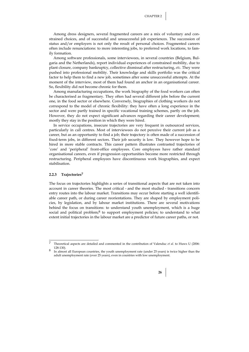Among dress designers, several fragmented careers are a mix of voluntary and constrained choices, and of successful and unsuccessful job experiences. The succession of status and/or employers is not only the result of personal choices. Fragmented careers often include renunciations: to more interesting jobs, to preferred work locations, to family formation.

Among software professionals, some interviewees, in several countries (Belgium, Bulgaria and the Netherlands), report individual experiences of constrained mobility, due to plant closure, company bankruptcy, collective dismissal after restructuring, *etc*. They were pushed into professional mobility. Their knowledge and skills portfolio was the critical factor to help them to find a new job, sometimes after some unsuccessful attempts. At the moment of the interview, most of them had found an anchor in an organisational career. So, flexibility did not become chronic for them.

Among manufacturing occupations, the work biography of the food workers can often be characterised as fragmentary. They often had several different jobs before the current one, in the food sector or elsewhere. Conversely, biographies of clothing workers do not correspond to the model of chronic flexibility: they have often a long experience in the sector and were partly trained in specific vocational training schemes, partly on the job. However, they do not expect significant advances regarding their career development; mostly they stay in the position in which they were hired.

In service occupations, insecure trajectories are very frequent in outsourced services, particularly in call centres. Most of interviewees do not perceive their current job as a career, but as an opportunity to find a job; their trajectory is often made of a succession of fixed-term jobs, in different sectors. Their job security is low. They however hope to be hired in more stable contracts. This career pattern illustrates contrasted trajectories of 'core' and 'peripheral' front-office employees. Core employees have rather standard organisational careers, even if progression opportunities become more restricted through restructuring. Peripheral employees have discontinuous work biographies, and expect stabilisation.

#### **2.2.3 Trajectories7**

1

The focus on trajectories highlights a series of transitional aspects that are not taken into account in career theories. The most critical - and the most studied - transitions concern entry routes into the labour market. Transitions may occur before starting a well identifiable career path, or during career reorientations. They are shaped by employment policies, by legislation, and by labour market institutions. There are several motivations behind the focus on transitions: to understand youth unemployment, which is a huge social and political problem;<sup>8</sup> to support employment policies; to understand to what extent initial trajectories in the labour market are a predictor of future career paths, or not.

adult unemployment rate (over 25 years), even in countries with low unemployment.



<sup>7</sup> Theoretical aspects are detailed and commented in the contribution of Valenduc *et al.* to Huws U (2006: 128-130). 8 In almost all European countries, the youth unemployment rate (under 25 years) is twice higher than the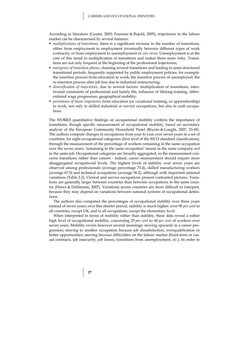According to literature (Gautié, 2003; Fournier & Bujold, 2005), trajectories in the labour market can be characterised by several features:

- *multiplications of transitions,* there is a significant increase in the number of transitions, either from employment to employment (eventually between different types of work contracts), or from employment to unemployment or *vice versa*. Unemployment is at the core of this trend in multiplication of transitions and makes them more risky. Transitions are not only frequent at the beginning of the professional trajectories;
- *emergence of transition phases*, chaining several transitions and leading to semi-structured transitional periods, frequently supported by public employment policies, for example: the insertion process from education to work; the insertion process of unemployed; the re-insertion process after job loss due to industrial restructuring;
- *diversification of trajectories*, due to several factors: multiplication of transitions, intertwined constraints of professional and family life, influence of lifelong training, differentiated wage progression, geographical mobility;
- *persistence of linear trajectories* from education (or vocational training, or apprenticeship) to work, not only in skilled industrial or service occupations, but also in craft occupations.

The WORKS quantitative findings on occupational mobility confirm the importance of transitions, though specific measurement of occupational mobility, based on secondary analysis of the European Community Household Panel (Brynin & Longhi, 2007: 33-45). The authors compute changes in occupations from year to year over seven years in a set of countries, for eight occupational categories (first level of the ISCO standard classification), through the measurement of the percentage of workers remaining in the same occupation over the seven years; 'remaining in the same occupation' means in the same company *and* in the same job. Occupational categories are broadly aggregated, so the measurement concerns transitions rather than careers - indeed, career measurement should require more disaggregated occupational levels. The highest levels of stability over seven years are observed among professionals (average percentage 75.4), skilled manufacturing workers (average 67.0) and technical occupations (average 56.2), although with important national variations (Table 2.2). Clerical and service occupations present contrasted pictures. Variations are generally larger between countries than between occupations in the same country (Huws & Dahlmann, 2007). Variations across countries are more difficult to interpret, because they may depend on variations between national systems of occupational definitions.

The authors also computed the percentages of occupational stability over three years instead of seven years; over this shorter period, stability is much higher: over 90 *per cent* in all countries, except UK, and in all occupations, except the elementary level.

When interpreted in terms of mobility rather than stability, these data reveal a rather high level of occupational mobility, concerning 25 *per cent* to 40 *per cent* of workers over seven years. Mobility covers however several meanings: moving upwards in a career progression; moving to another occupation because job dissatisfaction, overqualification or better opportunities; moving because difficulties on the labour market (fixed-term or casual contracts, job insecurity, job losses, transitions from unemployment, *etc*.). In order to

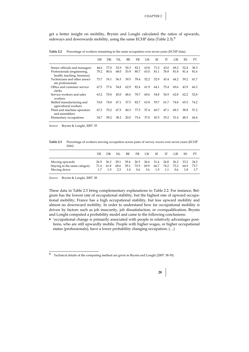get a better insight on mobility, Brynin and Longhi calculated the ratios of upwards, sideways and downwards mobility, using the same ECHP data (Table 2.3).<sup>9</sup>

Table 2.2 Percentage of workers remaining in the same occupation over seven years (ECHP data)

|                                                            | DF.  | DК   | NI.  | BF.  | FR   | UК   | IE.  | TТ   | GR   | ES   | PТ   |
|------------------------------------------------------------|------|------|------|------|------|------|------|------|------|------|------|
| Senior officials and managers                              | 44.6 | 77.0 | 52.9 | 50.3 | 82.1 | 63.8 | 71.2 | 43.0 | 49.2 | 52.4 | 38.3 |
| Professionals (engineering,<br>health, teaching, business) | 79.2 | 80.4 | 68.0 | 53.9 | 80.7 | 63.0 | 81.1 | 78.8 | 81.8 | 81.4 | 81.6 |
| Technicians and other associ-<br>ate professionals         | 73.7 | 76.1 | 56.5 | 39.5 | 78.4 | 52.2 | 52.9 | 43.4 | 44.2 | 59.2 | 41.7 |
| Office and customer service<br>clerks                      | 67.5 | 77.6 | 54.8 | 62.9 | 82.4 | 61.9 | 64.1 | 75.4 | 69.6 | 43.9 | 66.3 |
| Service workers and sales<br>workers                       | 63.2 | 70.8 | 45.0 | 48.6 | 78.7 | 60.6 | 54.8 | 54.9 | 62.8 | 62.2 | 52.8 |
| Skilled manufacturing and<br>agricultural workers          | 74.8 | 74.8 | 67.1 | 37.5 | 82.7 | 63.8 | 59.7 | 61.7 | 74.8 | 65.5 | 74.2 |
| Plant and machine operators<br>and assemblers              | 67.3 | 70.2 | 67.5 | 40.3 | 77.5 | 57.4 | 60.7 | 47.1 | 68.3 | 58.8 | 57.2 |
| Elementary occupations                                     | 54.7 | 58.2 | 38.2 | 20.0 | 73.6 | 37.0 | 43.5 | 35.2 | 51.4 | 48.5 | 44.4 |

*Source*: Brynin & Longhi, 2007: 35

**Table 2.3** Percentage of workers moving occupation across pairs of survey waves over seven years (ECHP data)

|                                                               | DE           | DK.                | NI.         | BE.                      | FR.                                                    | UK  | IE.         | TГ          | GR.         | ES.         | PТ    |
|---------------------------------------------------------------|--------------|--------------------|-------------|--------------------------|--------------------------------------------------------|-----|-------------|-------------|-------------|-------------|-------|
| Moving upwards<br>Staying in the same category<br>Moving down | 26.9<br>71.4 | 36.3<br>61.8<br>19 | 68.6<br>2.3 | 29.1 39.4<br>59.1<br>1.4 | 26.5 26.6 31.4 24.8 26.2 33.2 24.5<br>72.9 69.9<br>0.6 | 3.6 | 66.7<br>1.9 | 74.2<br>1.1 | 73.2<br>0.6 | 64.9<br>1.8 | -73.7 |

*Source*: Brynin & Longhi, 2007: 38

These data in Table 2.3 bring complementary explanations to Table 2.2. For instance, Belgium has the lowest rate of occupational stability, but the highest rate of upward occupational mobility; France has a high occupational stability, but less upward mobility and almost no downward mobility. In order to understand how far occupational mobility is driven by factors such as job insecurity, job dissatisfaction, or overqualification, Brynin and Longhi computed a probability model and came to the following conclusions:

 'occupational change is primarily associated with people in relatively advantages positions, who are still upwardly mobile. People with higher wages, or higher occupational status (professionals), have a lower probability changing occupation; (…)

 $\overline{9}$ 9 Technical details of the computing method are given in Brynin and Longhi (2007: 38-39).

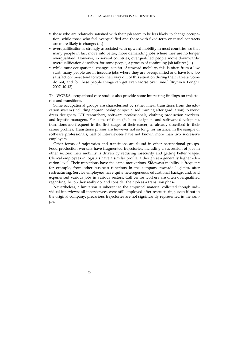- those who are relatively satisfied with their job seem to be less likely to change occupation, while those who feel overqualified and those with fixed-term or casual contracts are more likely to change; (…)
- overqualification is strongly associated with upward mobility in most countries, so that many people in fact move into better, more demanding jobs where they are no longer overqualified. However, in several countries, overqualified people move downwards; overqualification describes, for some people, a process of continuing job failure; (…)
- while most occupational changes consist of upward mobility, this is often from a low start: many people are in insecure jobs where they are overqualified and have low job satisfaction; most tend to work their way out of this situation during their careers. Some do not, and for these people things can get even worse over time.' (Brynin & Longhi, 2007: 40-43).

The WORKS occupational case studies also provide some interesting findings on trajectories and transitions.

Some occupational groups are characterised by rather linear transitions from the education system (including apprenticeship or specialised training after graduation) to work: dress designers, ICT researchers, software professionals, clothing production workers, and logistic managers. For some of them (fashion designers and software developers), transitions are frequent in the first stages of their career, as already described in their career profiles. Transitions phases are however not so long: for instance, in the sample of software professionals, half of interviewees have not known more than two successive employers.

Other forms of trajectories and transitions are found in other occupational groups. Food production workers have fragmented trajectories, including a succession of jobs in other sectors; their mobility is driven by reducing insecurity and getting better wages. Clerical employees in logistics have a similar profile, although at a generally higher education level. Their transitions have the same motivations. Sideways mobility is frequent: for example, from other business functions in the company towards logistics, after restructuring. Service employees have quite heterogeneous educational background, and experienced various jobs in various sectors. Call centre workers are often overqualified regarding the job they really do, and consider their job as a transition phase.

Nevertheless, a limitation is inherent to the empirical material collected though individual interviews: all interviewees were still employed after restructuring, even if not in the original company; precarious trajectories are not significantly represented in the sample.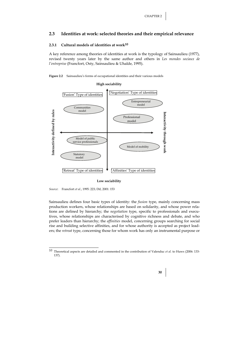#### **2.3 Identities at work: selected theories and their empirical relevance**

#### **2.3.1 Cultural models of identities at work10**

A key reference among theories of identities at work is the typology of Sainsaulieu (1977), revised twenty years later by the same author and others in *Les mondes sociaux de l'entreprise* (Francfort, Osty, Sainsaulieu & Uhalde, 1995).



## **High sociability**   $\left[\frac{\text{Fusion}'}{\text{Fusion}}\right]$   $\left[\frac{\text{Negotation}'}{\text{Type of identities}}\right]$ Entrepreneurial model Communities **Interactivity defined by rules**  Interactivity defined by rules model **Interactivity through work**  Interactivity through work Professional model Model of public service professionals Model of mobility Statutory model 'Retreat' Type of identities  $\bullet$  'Affinities' Type of identities

#### **Low sociability**



1

Sainsaulieu defines four basic types of identity: the *fusion* type, mainly concerning mass production workers, whose relationships are based on solidarity, and whose power relations are defined by hierarchy; the *negotiation* type, specific to professionals and executives, whose relationships are characterised by cognitive richness and debate, and who prefer leaders than hierarchy; the *affinities* model, concerning groups searching for social rise and building selective affinities, and for whose authority is accepted as project leaders; the *retreat* type, concerning those for whom work has only an instrumental purpose or

<sup>10</sup> Theoretical aspects are detailed and commented in the contribution of Valenduc *et al.* to Huws (2006: 133- 137).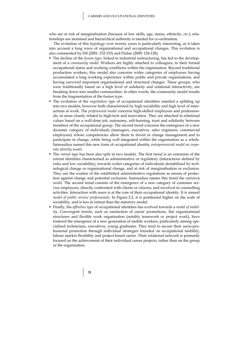who are at risk of marginalisation (because of low skills, age, status, ethnicity, *etc*.); relationships are atomised and hierarchical authority is needed for co-ordination.

The evolution of this typology over twenty years is particularly interesting, as it takes into account a long wave of organisational and occupational changes. This evolution is also commented by Dif (2001: 152-153) and Dubar (2000: 124-128).

- The decline of the *fusion type*, linked to industrial restructuring, has led to the development of a *community model.* Workers are highly attached to colleagues, to their formal occupational status and working conditions within the organisation. Beyond traditional production workers, this model also concerns wider categories of employees having accumulated a long working experience within public and private organisations, and having survived important organisational and structural changes. These groups, who were traditionally based on a high level of solidarity and relational interactivity, are breaking down into smaller communities. In other words, the community model results from the fragmentation of the fusion type.
- The evolution of the *negotiation type* of occupational identities entailed a splitting up into two models, however both characterised by high sociability and high level of interactions at work. The *professional model* concerns high-skilled employees and professionals, in areas closely related to high-tech and innovation. They are attached to relational values based on a well-done job, autonomy, self-learning, trust and solidarity between members of the occupational group. The second trend concerns the emergence of a new dynamic category of individuals (managers, executives, sales engineers, commercial employees) whose competencies allow them to invest in change management and to participate in change, while being well integrated within the organisation as a whole. Sainsaulieu named this new form of occupational identity *entrepreneurial model* or *corporate identity model*.
- The *retreat type* has been also split in two models. The first trend is an extension of the retreat identities characterised as administrative or regulatory (interactions defined by rules and low sociability), towards wider categories of individuals destabilised by technological change or organisational change, and at risk of marginalisation or exclusion. They use the routine of the established administrative regulations as means of protection against change and potential exclusion. Sainsaulieu names this trend the *statutory model*. The second trend consists of the emergence of a new category of customer service employees, directly confronted with clients or citizens, and involved in counselling activities. Interaction with users is at the core of their occupational identity. It is named *model of public service professionals*. In Figure 2.2, it is positioned higher on the scale of sociability, and is less in retreat than the statutory model.
- Finally, the *affinities type* of occupational identities has evolved towards a *model of mobility*. Convergent trends, such as rarefaction of career promotions, flat organisational structures and flexible work organisation (notably teamwork or project work), have fostered the emergence of a new generation of mobile workers, particularly among specialised technicians, executives, young graduates. They tend to secure their socio-professional promotion through individual strategies founded on occupational mobility, labour market flexibility and project-based career. Their relational network is primarily focused on the achievement of their individual career projects, rather than on the group or the organisation.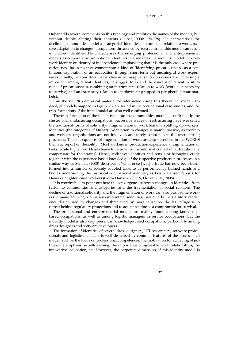Dubar adds several comments on this typology and modifies the names of the models, but without deeply altering their contents (Dubar, 2000: 124-128). He characterises the declining communities model as 'categorial' identities: instrumental relation to work, passive adaptation to changes, occupations threatened by restructuring; this model can result in blocked identities. He characterises the emerging professional and entrepreneurial models as corporate or promotional identities. He renames the mobility model into network identity or identity of independence, emphasising that it is the only case where precariousness has a positive connotation: a kind of 'identifying precariousness', as a continuous exploration of an occupation through short-term but meaningful work experiences. Finally, he considers that exclusion or marginalisation processes are increasingly important among retreat identities; he suggest to extend the concept of retreat to situations of precariousness, combining an instrumental relation to work (work as a necessity to survive) and an exteriority relation to employment (trapped in peripheral labour markets).

Can the WORKS empirical material be interpreted using this theoretical model? Indeed, all models mapped in Figure 2.2 are found in the occupational case studies, and the transformations of the initial model are also well confirmed.

The transformation of the fusion type into the communities model is confirmed in the cluster of manufacturing occupations. Successive waves of restructuring have weakened the traditional forms of solidarity. Fragmentation of work leads to splitting up workers' identities (the categories of Dubar). Adaptation to changes is mainly passive, as workers and workers' organisations are not involved, and rarely consulted, in the restructuring processes. The consequences of fragmentation of work are also described in the WORKS thematic report on flexibility: 'Most workers in production experience a fragmentation of tasks, while higher workloads leave little time for the informal contacts that traditionally compensate for the strains'. Hence, collective identities and senses of belonging erode together with the experience-based knowledge of the respective production processes in a similar way as Sennett (2008) describes it 'what once [was] a trade has now been transformed into a number of loosely coupled tasks to be performed by trained hands and bodies undermining the historical occupational identity', as Gorm Hansen reports for Danish slaughterhouse workers (Gorm Hansen, 2007: 9; Flecker *et al.*, 2008).

It is worthwhile to point out here the convergence between changes in identities, from fusion to communities and categories, and the fragmentation of social relations. The decline of traditional solidarity and the fragmentation of work can also push some workers in manufacturing occupations into retreat identities, particularly the statutory model: once destabilised by changes and threatened by marginalisation, the last refuge is to retreat behind regulatory protections and to accept routine as a compromise for survival.

The professional and entrepreneurial models are mainly found among knowledgebased occupations, as well as among logistic managers in service occupations; but the mobility model is also very present in knowledge-based occupations, particularly among dress designers and software developers.

The formation of identities of several dress designers, ICT researchers, software professionals and logistic managers is well described by common features of the professional model, such as the focus on professional competences, the motivation for achieving objectives, the emphasis on self-learning, the importance of agreeable work relationships, the innovative inclination, *etc*. However, the corporate dimension of this identity model is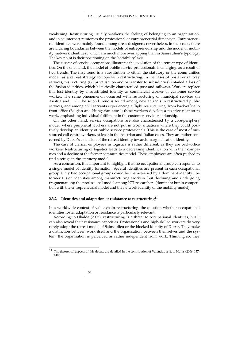weakening. Restructuring usually weakens the feeling of belonging to an organisation, and in counterpart reinforces the professional or entrepreneurial dimension. Entrepreneurial identities were mainly found among dress designers; nevertheless, in their case, there are blurring boundaries between the models of entrepreneurship and the model of mobility (network identities), which are much more overlapping than in Sainsaulieu's typology. The key point is their positioning on the 'sociability' axis.

The cluster of service occupations illustrates the evolution of the retreat type of identities. On the one hand, the model of public service professionals is emerging, as a result of two trends. The first trend is a substitution to either the statutory or the communities model, as a retreat strategy to cope with restructuring. In the cases of postal or railway services, restructuring (*i.e.* privatisation and or transfer to subsidiaries) entailed a loss of the fusion identities, which historically characterised post and railways. Workers replace this lost identity by a substituted identity as commercial worker or customer service worker. The same phenomenon occurred with restructuring of municipal services (in Austria and UK). The second trend is found among new entrants in restructured public services, and among civil servants experiencing a 'light restructuring' from back-office to front-office (Belgian and Hungarian cases); these workers develop a positive relation to work, emphasising individual fulfilment in the customer service relationship.

On the other hand, service occupations are also characterised by a core-periphery model, where peripheral workers are not put in work situations where they could positively develop an identity of public service professionals. This is the case of most of outsourced call centre workers, at least in the Austrian and Italian cases. They are rather concerned by Dubar's extension of the retreat identity towards marginalisation identity.

The case of clerical employees in logistics is rather different, as they are back-office workers. Restructuring of logistics leads to a decreasing identification with their companies and a decline of the former communities model. These employees are often pushed to find a refuge in the statutory model.

As a conclusion, it is important to highlight that no occupational group corresponds to a single model of identity formation. Several identities are present in each occupational group. Only two occupational groups could be characterised by a dominant identity: the former fusion identities among manufacturing workers (but declining and undergoing fragmentation); the professional model among ICT researchers (dominant but in competition with the entrepreneurial model and the network identity of the mobility model).

#### **2.3.2 Identities and adaptation or resistance to restructuring11**

In a worldwide context of value chain restructuring, the question whether occupational identities foster adaptation or resistance is particularly relevant.

According to Uhalde (2005), restructuring is a threat to occupational identities, but it can also reveal their resistance capacities. Professionals and high-skilled workers do very rarely adopt the retreat model of Sainsaulieu or the blocked identity of Dubar. They make a distinction between work itself and the organisation, between themselves and the system; the organisation is perceived as rather independent from work. Thinking so, they

<sup>11</sup> The theoretical aspects of this debate are detailed in the contribution of Valenduc *et al.* to Huws (2006: 137- 140)

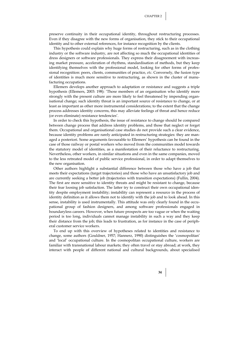preserve continuity in their occupational identity, throughout restructuring processes. Even if they disagree with the new forms of organisation, they stick to their occupational identity and to other external references, for instance recognition by the clients.

This hypothesis could explain why huge forms of restructuring, such as in the clothing industry or the software industry, are not affecting so much the occupational identities of dress designers or software professionals. They express their disagreement with increasing market pressure, acceleration of rhythms, standardisation of methods, but they keep identifying themselves with the professional model, looking for other forms of professional recognition: peers, clients, communities of practice, *etc*. Conversely, the fusion type of identities is much more sensitive to restructuring, as shown in the cluster of manufacturing occupations.

Ellemers develops another approach to adaptation or resistance and suggests a triple hypothesis (Ellemers, 2003: 198): 'Those members of an organisation who identify more strongly with the present culture are more likely to feel threatened by impending organisational change; such identity threat is an important source of resistance to change, or at least as important as other more instrumental considerations; to the extent that the change process addresses identity concerns, this may alleviate feelings of threat and hence reduce (or even eliminate) resistance tendencies'.

In order to check this hypothesis, the issue of resistance to change should be compared between change process that address identity problems, and those that neglect or forget them. Occupational and organisational case studies do not provide such a clear evidence, because identity problems are rarely anticipated in restructuring strategies: they are managed a posteriori. Some arguments favourable to Ellemers' hypothesis can be found in the case of those railway or postal workers who moved from the communities model towards the statutory model of identities, as a manifestation of their reluctance to restructuring. Nevertheless, other workers, in similar situations and even in the same companies, moved to the less retreated model of public service professional, in order to adapt themselves to the new organisation.

Other authors highlight a substantial difference between those who have a job that meets their expectations (target trajectories) and those who have an unsatisfactory job and are currently seeking a better job (trajectories with transition expectations) (Fullin, 2004). The first are more sensitive to identity threats and might be resistant to change, because their fear loosing job satisfaction. The latter try to construct their own occupational identity despite employment instability; instability can represent a resource in the process of identity definition as it allows them not to identify with the job and to look ahead. In this sense, instability is used instrumentally. This attitude was only clearly found in the occupational group of fashion designers, and among software professionals engaged in boundaryless careers. However, when future prospects are too vague or when the waiting period is too long, individuals cannot manage instability in such a way and they keep their distance from the job; this leads to frustration, as for instance in the case of peripheral customer service workers.

To end up with this overview of hypotheses related to identities and resistance to change, some authors (Gouldner, 1957; Hannerz, 1990) distinguishes the 'cosmopolitan' and 'local' occupational culture. In the cosmopolitan occupational culture, workers are familiar with transnational labour markets; they often travel or stay abroad; at work, they interact with people of different national and cultural backgrounds, about specialised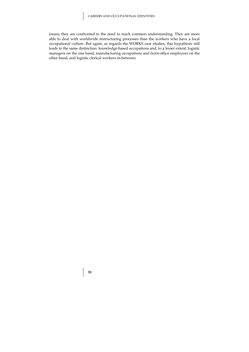issues; they are confronted to the need to reach common understanding. They are more able to deal with worldwide restructuring processes than the workers who have a local occupational culture. But again, as regards the WORKS case studies, this hypothesis still leads to the same distinction: knowledge-based occupations and, to a lesser extent, logistic managers on the one hand; manufacturing occupations and front-office employees on the other hand, and logistic clerical workers in-between.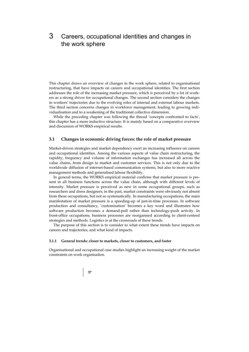# 3 Careers, occupational identities and changes in the work sphere

This chapter draws an overview of changes in the work sphere, related to organisational restructuring, that have impacts on careers and occupational identities. The first section addresses the role of the increasing market pressure, which is perceived by a lot of workers as a strong driver for occupational changes. The second section considers the changes in workers' trajectories due to the evolving roles of internal and external labour markets. The third section concerns changes in workforce management, leading to growing individualisation and to a weakening of the traditional collective dimension.

While the preceding chapter was following the thread 'concepts confronted to facts', this chapter has a more inductive structure. It is mainly based on a comparative overview and discussion of WORKS empirical results.

### **3.1 Changes in economic driving forces: the role of market pressure**

Market-driven strategies and market dependency exert an increasing influence on careers and occupational identities. Among the various aspects of value chain restructuring, the rapidity, frequency and volume of information exchanges has increased all across the value chains, from design to market and customer services. This is not only due to the worldwide diffusion of internet-based communication systems, but also to more reactive management methods and generalised labour flexibility.

In general terms, the WORKS empirical material confirms that market pressure is present in all business functions across the value chain, although with different levels of intensity. Market pressure is perceived as new in some occupational groups, such as researchers and dress designers; in the past, market constraints were obviously not absent from these occupations, but not so systematically. In manufacturing occupations, the main manifestation of market pressure is a speeding-up of just-in-time processes. In software production and consultancy, 'customisation' becomes a key word and illustrates how software production becomes a demand-pull rather than technology-push activity. In front-office occupations, business processes are reorganised according to client-centred strategies and methods. Logistics is at the crossroads of these trends.

The purpose of this section is to consider to what extent these trends have impacts on careers and trajectories, and what kind of impacts.

#### **3.1.1 General trends: closer to markets, closer to customers, and faster**

Organisational and occupational case studies highlight an increasing weight of the market constraints on work organisation.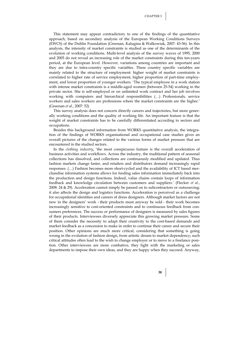This statement may appear contradictory to one of the findings of the quantitative approach, based on secondary analysis of the European Working Conditions Surveys (EWCS) of the Dublin Foundation (Greenan, Kalugina & Walkowiak, 2007: 43-56). In this analysis, the intensity of market constraints is studied as one of the determinants of the evolution of working conditions. Multi-level analysis of the survey waves of 1995, 2000 and 2005 do not reveal an increasing role of the market constraints during this ten-years period, at the European level. However, variations among countries are important and they are due to intra-country specific variables. These country specific variables are mainly related to the structure of employment: higher weight of market constraints is correlated to higher rate of service employment, higher proportion of part-time employment, and lower proportion of younger workers. 'The typical employee in a work station with intense market constraints is a middle-aged women (between 25-54) working in the private sector. She is self-employed or on unlimited work contract and her job involves working with computers and hierarchical responsibilities (…) Professionals, service workers and sales workers are professions where the market constraints are the higher.' (Greenan *et al.*, 2007: 52)

This survey analysis does not concern directly careers and trajectories, but more generally working conditions and the quality of working life. An important feature is that the weight of market constraints has to be carefully differentiated according to sectors and occupations.

Besides this background information from WORKS quantitative analysis, the integration of the findings of WORKS organisational and occupational case studies gives an overall pictures of the changes related to the various forms of market pressure that are encountered in the studied sectors.

In the *clothing industry*, 'the most conspicuous feature is the overall acceleration of business activities and workflows. Across the industry, the traditional pattern of seasonal collections has dissolved, and collections are continuously modified and updated. Thus fashion markets change faster, and retailers and distributors demand increasingly rapid responses. (…) Fashion becomes more short-cycled and the availability of ICT based merchandise information systems allows for feeding sales information immediately back into the production and design functions. Indeed, value chains contain loops of information feedback and knowledge circulation between customers and suppliers.' (Flecker *et al.*, 2008: 24 & 29). Acceleration cannot simply be passed on to subcontractors or outsourcing; it also affects the design and logistics functions. Acceleration is perceived as a challenge for occupational identities and careers of dress designers. Although market factors are not new in the designers' work - their products must anyway be sold - their work becomes increasingly sensitive to cost-oriented constraints and to continuous feedback from consumers preferences. The success or performance of designers is measured by sales figures of their products. Interviewees diversely appreciate this growing market pressure. Some of them consider the necessity to adapt their creativity to the cost-based demands and market feedback as a concession to make in order to continue their career and secure their position. Other opinions are much more critical, considering that something is going wrong in the evolution of fashion design, from artistic dream to market dependency; such critical attitudes often lead to the wish to change employer or to move to a freelance position. Other interviewees are more combative, they fight with the marketing or sales departments to impose their own ideas, and they are happy when they succeed. Anyway,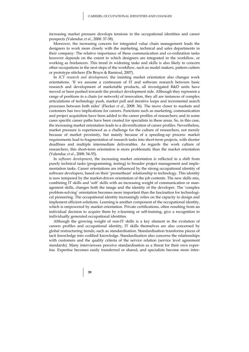increasing market pressure develops tensions in the occupational identities and career prospects (Valenduc *et al.*, 2008: 37-38).

Moreover, the increasing concern for integrated value chain management leads the designers to work more closely with the marketing, technical and sales departments in their company: The relative importance of these communication and co-ordination tasks however depends on the extent to which designers are integrated in the workflow, or working as freelancers. This trend in widening tasks and skills is also likely to concern other occupations in the next steps of the workflow, such as model makers, pattern cutters or prototype stitchers (De Bruyn & Ramioul, 2007).

In *ICT research and development*, the insisting market orientation also changes work orientations. 'If we assume a continuum of IT and software research between basic research and development of marketable products, all investigated R&D units have moved or been pushed towards the product development side. Although they represent a range of positions in a chain (or network) of innovation, they all are instances of complex articulations of technology push, market pull and iterative loops and incremental search processes between both sides' (Flecker *et al.*, 2008: 36). The move closer to markets and customers has two implications for careers. Functions such as marketing, communication and project acquisition have been added to the career profiles of researchers; and in some cases specific career paths have been created for specialists in these areas. So, in this case, the increasing market orientation leads to a diversification of career profiles. Nevertheless, market pressure is experienced as a challenge for the culture of researchers, not merely because of market proximity, but mainly because of a speeding-up process: market requirements lead to fragmentation of research tasks into short-term projects, with shorter deadlines and multiple intermediate deliverables. As regards the work culture of researchers, this short-term orientation is more problematic than the market orientation (Valenduc *et al.*, 2008: 54-55).

In *software development*, the increasing market orientation is reflected in a shift from purely technical tasks (programming, testing) to broader project management and implementation tasks. Career orientations are influenced by the strong occupational identity of software developers, based on their 'promethean' relationship to technology. This identity is now tempered by the market-driven orientation of the job contents. The new skills mix, combining IT skills and 'soft' skills with an increasing weight of communication or management skills, changes both the image and the identity of the developer. The 'complex problem-solving' orientation becomes more important than the fascination for technological pioneering. The occupational identity increasingly relies on the capacity to design and implement efficient solutions. Learning is another component of the occupational identity, which is empowered by market orientation. Private certifications, often resulting from an individual decision to acquire them by e-learning or self-training, give a recognition to individually generated occupational identities.

Although the growing weight of non-IT skills is a key element in the evolution of careers profiles and occupational identity, IT skills themselves are also concerned by global restructuring trends, such as standardisation. Standardisation transforms pieces of tacit knowledge into codified knowledge. Standardisation also concerns the relationships with customers and the quality criteria of the service relation (service level agreement standards). Many interviewees perceive standardisation as a threat for their own expertise. Expertise becomes easily transferred or shared, and specialists become more inter-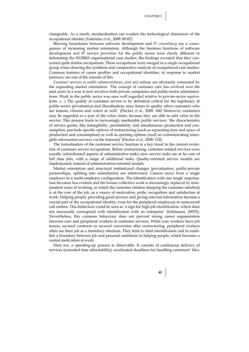changeable. As a result, standardisation can weaken the technological dimension of the occupational identity (Valenduc *et al.*, 2008: 85-87).

Blurring boundaries between software development and *IT consultancy* are a consequence of increasing market orientation. Although the business functions of software development and IT service provision for the public sector were clearly different in delineating the WORKS organisational case studies, the findings revealed that they concerned quite similar occupations. These occupations were merged in a single occupational group when drawing the synthesis and comparative analysis of occupational case studies. Common features of career profiles and occupational identities, in response to market pressure, are one of the reasons of this.

*Customer services in public administrations, post and railway* are obviously concerned by the expanding market orientation. 'The concept of customer care has evolved over the past years in a way it now involves both private companies and public-sector administrations. Work in the public sector was once well regarded relative to private-sector equivalents. (…) The quality of customer service is by definition critical for the legitimacy of public-sector privatisation and liberalisation, since losses in quality affect customers who are tenants, citizens and voters as well.' (Flecker *et al.*, 2008: 106) Moreover, customers may be regarded as a part of the value chain, because they are able to add value to the service. This process leads to increasingly marketable public services: 'the characteristics of service goods, like intangibility, perishability and simultaneous production and consumption, preclude specific options of restructuring (such as separating time and space of production and consumption) as well as opening options (such as communicating intangible information services via the Internet)' (Flecker *et al.*, 2008: 132).

The formalisation of the customer service function is a key trend in the current evolution of customer service occupations. Before restructuring, customer-related services were usually subordinated aspects of administrative tasks; now service tasks are at he core of full time jobs, with a range of additional tasks. Quality-oriented service models are implemented, instead of administration-oriented models.

Market orientation and structural institutional changes (privatisation, public-private partnerships, splitting into subsidiaries) are intertwined. Careers move from a single employer to a multi-employer configuration. The identification with one single organisation becomes less evident and the former collective work is increasingly replaced by independent ways of working, in which the customer relation (keeping the customer satisfied) is at the core of the job, as a source of motivation, pride, recognition and satisfaction at work. Helping people, providing good services and giving relevant information become a crucial part of the occupational identity, even for the peripheral employees in outsourced call centres. This behaviour could be seen as 'a sign for high job identification, which does not necessarily correspond with identification with an enterprise' (Schönauer, 2007b). Nevertheless, this common behaviour does not prevent strong career segmentation between core and peripheral workers in customer services. While core workers have job tenure, secured contracts or secured conversion after restructuring, peripheral workers often see their job as a transitory situation. They tend to limit identification and to establish a boundary between job and personal ambitions in helping people, which becomes a central motivation at work.

Here too, a speeding-up process is observable. It consists of continuous delivery of services (extended time affordability), accelerated deadlines for handling customers' files,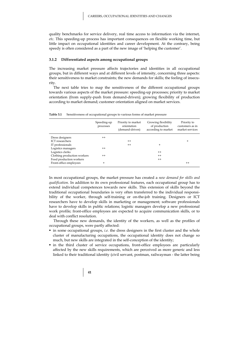quality benchmarks for service delivery, real time access to information via the internet, *etc*. This speeding-up process has important consequences on flexible working time, but little impact on occupational identities and career development. At the contrary, being speedy is often considered as a part of the new image of 'helping the customer'.

#### **3.1.2 Differentiated aspects among occupational groups**

The increasing market pressure affects trajectories and identities in all occupational groups, but in different ways and at different levels of intensity, concerning three aspects: their sensitiveness to market constraints; the new demands for skills; the feeling of insecurity.

The next table tries to map the sensitiveness of the different occupational groups towards various aspects of the market pressure: speeding-up processes; priority to market orientation (from supply-push from demand-driven); growing flexibility of production according to market demand; customer orientation aligned on market services.

|                             | Speeding-up<br>processes | Priority to market<br>orientation<br>(demand-driven) | Growing flexibility<br>of production<br>according to market | Priority to<br>customers as in<br>market services |
|-----------------------------|--------------------------|------------------------------------------------------|-------------------------------------------------------------|---------------------------------------------------|
| Dress designers             | $++$                     |                                                      |                                                             |                                                   |
| <b>ICT</b> researchers      |                          | $^{++}$                                              |                                                             | $\pm$                                             |
| IT professionals            |                          | $^{++}$                                              | $+$                                                         |                                                   |
| Logistics managers          | $++$                     |                                                      |                                                             |                                                   |
| Logistics clerks            |                          |                                                      | $^{++}$                                                     |                                                   |
| Clothing production workers | $++$                     |                                                      | $^{++}$                                                     |                                                   |
| Food production workers     |                          |                                                      | $^{++}$                                                     |                                                   |
| Front-office employees      | $\ddot{}$                |                                                      |                                                             | $++$                                              |

**Table 3.1** Sensitiveness of occupational groups to various forms of market pressure

In most occupational groups, the market pressure has created a *new demand for skills and qualification*. In addition to its own professional features, each occupational group has to extend individual competences towards new skills. This extension of skills beyond the traditional occupational boundaries is very often transferred to the individual responsibility of the worker, through self-training or on-the-job training. Designers or ICT researchers have to develop skills in marketing or management; software professionals have to develop skills in public relations; logistic managers develop a new professional work profile; front-office employees are expected to acquire communication skills, or to deal with conflict resolution.

Through these new demands, the identity of the workers, as well as the profiles of occupational groups, were partly affected:

- in some occupational groups, *i.e.* the dress designers in the first cluster and the whole cluster of manufacturing occupations, the occupational identity does not change so much, but new skills are integrated in the self-conception of the identity;
- in the third cluster of service occupations, front-office employees are particularly affected by the new skills requirements, which are perceived as more generic and less linked to their traditional identity (civil servant, postman, railwayman - the latter being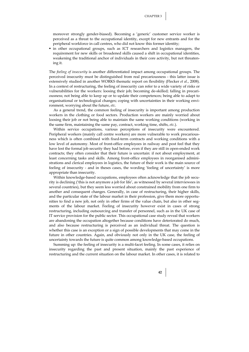moreover strongly gender-biased). Becoming a 'generic' customer service worker is perceived as a threat to the occupational identity, except for new entrants and for the peripheral workforce in call centres, who did not know this former identity;

 in other occupational groups, such as ICT researchers and logistics managers, the requirement for new skills or broadened skills caused a shift in occupational identities, weakening the traditional anchor of individuals in their core activity, but not threatening it.

The *feeling of insecurity* is another differentiated impact among occupational groups. The perceived insecurity must be distinguished from real precariousness - this latter issue is extensively studied in another WORKS thematic report on flexibility (Flecker *et al.*, 2008). In a context of restructuring, the feeling of insecurity can refer to a wide variety of risks or vulnerabilities for the workers: loosing their job; becoming de-skilled; falling in precariousness; not being able to keep up or to update their competences; being able to adapt to organisational or technological changes; coping with uncertainties in their working environment, worrying about the future, *etc*.

As a general trend, the common feeling of insecurity is important among production workers in the clothing or food sectors. Production workers are mainly worried about loosing their job or not being able to maintain the same working conditions (working in the same firm, maintaining the same pay, contract, working time, shifts, *etc*.).

Within service occupations, various perceptions of insecurity were encountered. Peripheral workers (mainly call centre workers) are more vulnerable to work precariousness which is often combined with fixed-term contracts and working conditions with a low level of autonomy. Most of front-office employees in railway and post feel that they have lost the formal job security they had before, even if they are still in open-ended work contracts; they often consider that their future is uncertain: if not about employment, at least concerning tasks and skills. Among front-office employees in reorganised administrations and clerical employees in logistics, the future of their work is the main source of feeling of insecurity - and in theses cases, the wording 'feeling of uncertainty' is more appropriate than insecurity.

Within knowledge-based occupations, employees often acknowledge that the job security is declining ('this is not anymore a job for life', as witnessed by several interviewees in several countries), but they seem less worried about constrained mobility from one firm to another and consequent changes. Generally, in case of restructuring, their higher skills, and the particular state of the labour market in their profession, give them more opportunities to find a new job, not only in other firms of the value chain, but also in other segments of the labour market. Feeling of insecurity however exist in cases of strong restructuring, including outsourcing and transfer of personnel, such as in the UK case of IT service provision for the public sector. This occupational case study reveal that workers are abandoning the occupation altogether because conditions have deteriorated do much, and also because restructuring is perceived as an individual threat. The question is whether this case is an exception or a sign of possible developments that may come in the future in other countries. Again, and obviously not only in the UK case, the feeling of uncertainty towards the future is quite common among knowledge-based occupations.

Summing up: the feeling of insecurity is a multi-facet feeling. In some cases, it relies on insecurity regarding the past and present situation, mainly the past experience of restructuring and the current situation on the labour market. In other cases, it is related to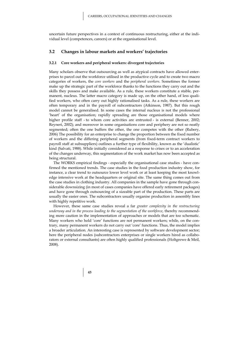uncertain future perspectives in a context of continuous restructuring, either at the individual level (competences, careers) or at the organisational level.

#### **3.2 Changes in labour markets and workers' trajectories**

#### **3.2.1 Core workers and peripheral workers: divergent trajectories**

Many scholars observe that outsourcing as well as atypical contracts have allowed enterprises to parcel out the workforce utilised in the productive cycle and to create two macro categories of workers, the *core workers* and the *peripheral workers*. Sometimes the former make up the strategic part of the workforce thanks to the functions they carry out and the skills they possess and make available. As a rule, these workers constitute a stable, permanent, nucleus. The latter macro category is made up, on the other hand, of less qualified workers, who often carry out highly rationalised tasks. As a rule, these workers are often temporary and in the payroll of subcontractors (Atkinson, 1987). But this rough model cannot be generalised. In some cases the internal nucleus is not the professional 'heart' of the organisation; rapidly spreading are those organisational models where higher profile staff - to whom core activities are entrusted - is external (Benner, 2002; Reyneri, 2002); and moreover in some organisations core and periphery are not so neatly segmented; often the one buffers the other, the one competes with the other (Rubery, 2006) The possibility for an enterprise to change the proportion between the fixed number of workers and the differing peripheral segments (from fixed-term contract workers to payroll staff at subsuppliers) outlines a further type of flexibility, known as the 'dualistic' kind (Salvati, 1988). While initially considered as a response to crises or to an acceleration of the changes underway, this segmentation of the work market has now been accepted as being structural.

The WORKS empirical findings - especially the organisational case studies - have confirmed the mentioned trends. The case studies in the food production industry show, for instance, a clear trend to outsource lower level work or at least keeping the most knowledge intensive work at the headquarters or original site. The same thing comes out from the case studies in clothing industry. All companies in the sample have gone through considerable downsizing (in most of cases companies have offered early retirement packages) and have gone through outsourcing of a sizeable part of the production. These parts are usually the easier ones. The subcontractors usually organise production in assembly lines with highly repetitive work.

However, these same case studies reveal a far *greater complexity in the restructuring underway and in the process leading to the segmentation of the workforce*, thereby recommending more caution in the implementation of approaches or models that are too schematic. Many workers who hold 'core' functions are not permanent workers; while, on the contrary, many permanent workers do not carry out 'core' functions. Thus, the model implies a broader articulation. An interesting case is represented by software development sector; here the peripheral nodes (subcontractors enterprises or single workers hired as collaborators or external consultants) are often highly qualified professionals (Holtgrewe & Meil, 2008).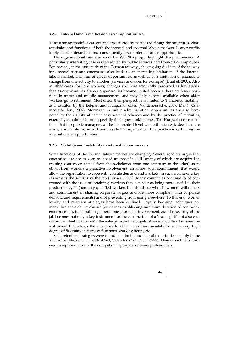#### **3.2.2 Internal labour market and career opportunities**

Restructuring modifies careers and trajectories by partly redefining the structures, characteristics and functions of both the internal and external labour markets. Leaner outfits imply shorter hierarchies and, consequently, lesser internal career opportunities.

The organisational case studies of the WORKS project highlight this phenomenon. A particularly interesting case is represented by public services and front-office employees. For instance, in the case study of the German railways, the ongoing division of the railway into several separate enterprises also leads to an increasing limitation of the internal labour market, and thus of career opportunities, as well as of a limitation of chances to change from one activity to another (services and sales for example) (Dunkel, 2007). Also in other cases, for core workers, changes are more frequently perceived as limitations, than as opportunities. Career opportunities become limited because there are fewer positions in upper and middle management, and they only become available when older workers go to retirement. Most often, their perspective is limited to 'horizontal mobility' as illustrated by the Belgian and Hungarian cases (Vandenbussche, 2007; Makó, Csizmadia & Illésy, 2007). Moreover, in public administration, opportunities are also hampered by the rigidity of career advancement schemes and by the practice of recruiting externally certain positions, especially the higher ranking ones. The Hungarian case mentions that top public managers, at the hierarchical level where the strategic decisions are made, are mainly recruited from outside the organisation; this practice is restricting the internal carrier opportunities.

#### **3.2.3 Stability and instability in internal labour markets**

Some functions of the internal labour market are changing. Several scholars argue that enterprises are not as keen to 'hoard up' specific skills (many of which are acquired in training courses or gained from the switchover from one company to the other) as to obtain from workers a proactive involvement, an almost total commitment, that would allow the organisation to cope with volatile demand and markets. In such a context, a key resource is the security of the job (Reyneri, 2002). Many companies continue to be confronted with the issue of 'retaining' workers they consider as being more useful to their production cycle (non only qualified workers but also those who show more willingness and commitment in sharing corporate targets and are more compliant with corporate demand and requirements) and of preventing from going elsewhere. To this end, worker loyalty and retention strategies have been outlined. Loyalty boosting techniques are many: besides stability clauses (or clauses establishing minimum duration of contracts), enterprises envisage training programmes, forms of involvement, *etc*. The security of the job becomes not only a key instrument for the construction of a 'team spirit' but also crucial in the identification with the enterprise and its targets. A secure job thus becomes the instrument that allows the enterprise to obtain maximum availability and a very high degree of flexibility in terms of functions, working hours, *etc*.

Such retention strategies were found in a limited number of case studies, mainly in the ICT sector (Flecker *et al.*, 2008: 47-63; Valenduc *et al.*, 2008: 73-98). They cannot be considered as representative of the occupational group of software professionals.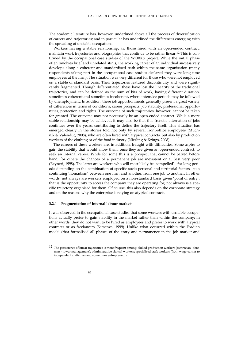The academic literature has, however, underlined above all the process of diversification of careers and trajectories; and in particular has underlined the differences emerging with the spreading of unstable occupations.

Workers having a stable relationship, *i.e.* those hired with an open-ended contract, maintain work trajectories and biographies that continue to be rather linear.12 This is confirmed by the occupational case studies of the WORKS project. While the initial phase often involves brief and unrelated stints, the working career of an individual successively develops along a coherent and standardised path within the same organisation (many respondents taking part in the occupational case studies declared they were long time employees at the firm). The situation was very different for those who were not employed on a stable or standard basis. Their trajectories featured discontinuity and were significantly fragmented. Though differentiated, these have lost the linearity of the traditional trajectories, and can be defined as the sum of bits of work, having different duration, sometimes coherent and sometimes incoherent, where intensive periods may be followed by unemployment. In addition, these job apportionments generally present a great variety of differences in terms of conditions, career prospects, job stability, professional opportunities, protection and rights. The outcome of such trajectories, however, cannot be taken for granted. The outcome may not necessarily be an open-ended contract. While a more stable relationship may be achieved, it may also be that this frenetic alternation of jobs continues over the years, contributing to define the trajectory itself. This situation has emerged clearly in the stories told not only by several front-office employees (Muchnik & Valenduc, 2008), who are often hired with atypical contracts, but also by production workers of the clothing or of the food industry (Nierling & Krings, 2008).

The careers of these workers are, in addition, fraught with difficulties. Some aspire to gain the stability that would allow them, once they are given an open-ended contract, to seek an internal career. While for some this is a prospect that cannot be barred before hand, for others the chances of a permanent job are inexistent or at best very poor (Reyneri, 1998). The latter are workers who will most likely be 'compelled' - for long periods depending on the combination of specific socio-personal and territorial factors - to a continuing 'nomadism' between one firm and another, from one job to another. In other words, not always are workers employed on a non-standard basis given 'point of entry', that is the opportunity to access the company they are operating for; not always is a specific trajectory organised for them. Of course, this also depends on the corporate strategy and on the reasons why the enterprise is relying on atypical contracts.

#### **3.2.4 Fragmentation of internal labour markets**

It was observed in the occupational case studies that some workers with unstable occupations actually prefer to gain stability in the market rather than within the company; in other words, they do not want to be hired as employees and prefer to work with atypical contracts or as freelancers (Semenza, 1999). Unlike what occurred within the Fordian model (that formalised all phases of the entry and permanence in the job market and

 $12$  The persistence of linear trajectories is more frequent among: skilled production workers (technician - foreman - lower management); administrative clerical workers; specialised craft workers (from wage-earner to independent craftsman and sometimes entrepreneur).

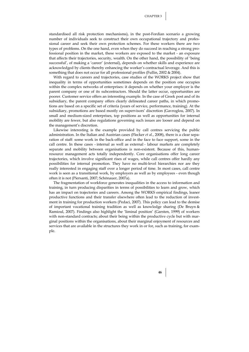standardised all risk protection mechanisms), in the post-Fordian scenario a growing number of individuals seek to construct their own occupational trajectory and professional career and seek their own protection schemes. For these workers there are two types of problems. On the one hand, even when they do succeed in reaching a strong professional position in the market, these workers are exposed to the market - an exposure that affects their trajectories, security, wealth. On the other hand, the possibility of 'being successful', of making a 'career' (external), depends on whether skills and experience are acknowledged by clients thereby enhancing the worker's contractual leverage. And this is something that does not occur for all professional profiles (Fullin, 2002 & 2004).

With regard to careers and trajectories, case studies of the WORKS project show that inequality in terms of opportunities sometimes depends on the position one occupies within the complex networks of enterprises: it depends on whether your employer is the parent company or one of its subcontractors. Should the latter occur, opportunities are poorer. Customer service offers an interesting example. In the case of Greek post and of its subsidiary, the parent company offers clearly delineated career paths, in which promotions are based on a specific set of criteria (years of service, performance, training). At the subsidiary, promotions are based mostly on supervisors' discretion (Gavroglou, 2007). In small and medium-sized enterprises, top positions as well as opportunities for internal mobility are fewer, but also regulations governing such issues are looser and depend on the management's discretion.

Likewise interesting is the example provided by call centres servicing the public administration. In the Italian and Austrian cases (Flecker *et al.*, 2008), there is a clear separation of staff: some work in the back-office and in the face to face support, some in the call centre. In these cases - internal as well as external - labour markets are completely separate and mobility between organisations is non-existent. Because of this, humanresource management acts totally independently. Core organisations offer long career trajectories, which involve significant rises of wages, while call centres offer hardly any possibilities for internal promotion. They have no multi-level hierarchies nor are they really interested in engaging staff over a longer period of time. In most cases, call centre work is seen as a transitional work, by employers as well as by employees - even though often it is not (Piersanti, 2007; Schönauer, 2007a).

The fragmentation of workforce generates inequalities in the access to information and training, in turn producing disparities in terms of possibilities to learn and grow, which has an impact on trajectories and careers. Among the WORKS empirical findings, leaner productive functions and their transfer elsewhere often lead to the reduction of investment in training for production workers (Pedaci, 2007). This policy can lead to the demise of important vocational training tradition as well as knowledge sharing (De Bruyn & Ramioul, 2007). Findings also highlight the 'liminal position' (Garsten, 1999) of workers with non-standard contracts; about their being within the productive cycle but with marginal positions within the organisations, about their marginal enjoyment of resources and services that are available in the structures they work in or for, such as training, for example.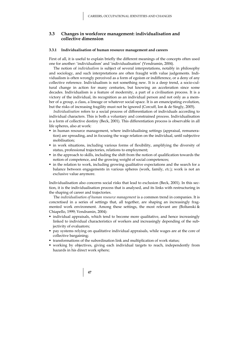### **3.3 Changes in workforce management: individualisation and collective dimension**

#### **3.3.1 Individualisation of human resource management and careers**

First of all, it is useful to explain briefly the different meanings of the concepts often used one for another: 'individualism' and 'individualisation' (Vendramin, 2004).

The notion of *individualism* is subject of several interpretations, notably in philosophy and sociology, and such interpretations are often fraught with value judgements. Individualism is often wrongly perceived as a form of egoism or indifference, or a deny of any collective reference. Individualism is not something new. It is a deep trend, a socio-cultural change in action for many centuries, but knowing an acceleration since some decades. Individualism is a feature of modernity, a part of a civilisation process. It is a victory of the individual, its recognition as an individual person and not only as a member of a group, a class, a lineage or whatever social space. It is an emancipating evolution, but the risks of increasing fragility must not be ignored (Corcuff, Ion & de Singly, 2005).

*Individualisation* refers to a social process of differentiation of individuals according to individual characters. This is both a voluntary and constrained process. Individualisation is a form of collective destiny (Beck, 2001). This differentiation process is observable in all life spheres, also at work:

- in human resource management, where individualising settings (appraisal, remuneration) are spreading, and in focusing the wage relation on the individual, until subjective mobilisation;
- in work situations, including various forms of flexibility, amplifying the diversity of status, professional trajectories, relations to employment;
- in the approach to skills, including the shift from the notion of qualification towards the notion of competence, and the growing weight of social competences;
- in the relation to work, including growing qualitative expectations and the search for a balance between engagements in various spheres (work, family, *etc*.); work is not an exclusive value anymore.

Individualisation also concerns social risks that lead to exclusion (Beck, 2001). In this section, it is the individualisation process that is analysed, and its links with restructuring in the shaping of career and trajectories.

The *individualisation of human resource management* is a common trend in companies. It is concretised in a series of settings that, all together, are shaping an increasingly fragmented work environment. Among these settings, the most relevant are (Boltanski & Chiapello, 1999; Vendramin, 2004):

- individual appraisals, which tend to become more qualitative, and hence increasingly linked to individual characteristics of workers and increasingly depending of the subjectivity of evaluators;
- pay systems relying on qualitative individual appraisals, while wages are at the core of collective bargaining;
- transformations of the subordination link and multiplication of work status;
- working by objectives, giving each individual targets to reach, independently from hazards in his direct work sphere;

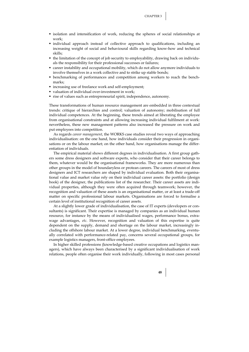- **Exercise isolation and intensification of work, reducing the spheres of social relationships at** work;
- individual approach instead of collective approach to qualifications, including an increasing weight of social and behavioural skills regarding know-how and technical skills;
- the limitation of the concept of job security to employability, drawing back on individuals the responsibility for their professional successes or failures;
- career instability and occupational mobility, which do not allow anymore individuals to involve themselves in a work collective and to strike up stable bonds;
- benchmarking of performances and competition among workers to reach the benchmarks;
- increasing use of freelance work and self-employment;
- valuation of individual over-investment in work;
- rise of values such as entrepreneurial spirit, independence, autonomy.

These transformations of human resource management are embedded in three contextual trends: critique of hierarchies and control; valuation of autonomy; mobilisation of full individual competences. At the beginning, these trends aimed at liberating the employee from organisational constraints and at allowing increasing individual fulfilment at work: nevertheless, these new management patterns also increased the pressure on work and put employees into competition.

As regards *career management*, the WORKS case studies reveal two ways of approaching individualisation: on the one hand, how individuals consider their progression in organisations or on the labour market; on the other hand, how organisations manage the differentiation of individuals.

The empirical material shows different degrees in individualisation. A first group gathers some dress designers and software experts, who consider that their career belongs to them, whatever would be the organisational frameworks. They are more numerous than other groups in the model of boundaryless or protean careers. The careers of most of dress designers and ICT researchers are shaped by individual evaluation. Both their organisational value and market value rely on their individual career assets: the portfolio (design book) of the designer, the publications list of the researcher. Their career assets are individual properties, although they were often acquired through teamwork; however, the recognition and valuation of these assets is an organisational matter, or at least a trade-off matter on specific professional labour markets. Organisations are forced to formalise a certain level of institutional recognition of career assets.

At a slightly lower grade of individualisation, the case of IT experts (developers or consultants) is significant. Their expertise is managed by companies as an individual human resource, for instance by the means of individualised wages, performance bonus, extrawage advantages, *etc*. However, recognition and valuation of this expertise is quite dependent on the supply, demand and shortage on the labour market, increasingly including the offshore labour market. At a lower degree, individual benchmarking, eventually correlated with performance-related pay, concerns several occupational groups, for example logistics managers, front-office employees.

In higher skilled professions (knowledge-based creative occupations and logistics managers), which have always been characterised by a significant individualisation of work relations, people often organise their work individually, following in most cases personal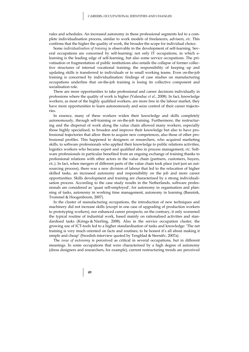rules and schedules. An increased autonomy in these professional segments led to a complete individualisation process, similar to work models of freelancers, advisers, *etc*. This confirms that the higher the quality of work, the broader the scope for individual choice.

Some *individualisation of training* is observable in the development of self-learning. Several occupations are concerned by self-learning: not only IT occupations, in which elearning is the leading edge of self-learning, but also some service occupations. The privatisation or fragmentation of public institutions also entails the collapse of former collective structures of internal vocational training; the responsibility of keeping up and updating skills is transferred to individuals or to small working teams. Even on-the-job training is concerned by individualisation: findings of case studies on manufacturing occupations underline that on-the-job training is losing its collective component and socialisation role.

There are more opportunities to take professional and career decisions individually in professions where the quality of work is higher (Valenduc *et al.*, 2008). In fact, knowledge workers, as most of the highly qualified workers, are more free in the labour market, they have more opportunities to learn autonomously and seize control of their career trajectories.

In essence, many of these workers widen their knowledge and skills completely autonomously, through self-training or on-the-job training. Furthermore, the restructuring and the dispersal of work along the value chain allowed many workers, especially those highly specialised, to broaden and improve their knowledge but also to have professional trajectories that allow them to acquire new competences, also those of other professional profiles. This happened to designers or researchers, who acquired marketing skills, to software professionals who applied their knowledge to public relations activities, logistics workers who became expert and qualified also in process management, *etc*. Software professionals in particular benefited from an ongoing exchange of training thanks to professional relations with other actors in the value chain (partners, customers, buyers, *etc*.). In fact, when mergers of different parts of the value chain took place (not just an outsourcing process), there was a new division of labour that led to the relocation of higher skilled tasks, an increased autonomy and responsibility on the job and more career opportunities. Skills development and training are characterised by a strong individualisation process. According to the case study results in the Netherlands, software professionals are considered as 'quasi self-employed', for autonomy in organisation and planning of tasks, autonomy in working time management, autonomy in learning (Bannink, Trommel & Hoogenboom, 2007).

In the cluster of manufacturing occupations, the introduction of new techniques and machinery did not increase skills (except in one case of upgrading of production workers to prototyping workers), nor enhanced career prospects; on the contrary, it only worsened the typical routine of industrial work, based mainly on rationalised activities and standardised tasks (Krings & Nierling, 2008). Also in the service occupation cluster, the growing use of ICT-tools led to a higher standardisation of tasks and knowledge: 'The net training is very much oriented on facts and routines; to be honest it's all about making it simple and cheap' (Swedish interview quoted by Tengblad & Sternälv, 2007a).

The *issue of autonomy* is perceived as critical in several occupations, but in different meanings. In some occupations that were characterised by a high degree of autonomy (dress designers and researchers, for example), current restructuring trends are perceived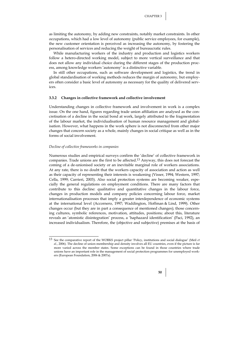as limiting the autonomy, by adding new constraints, notably market constraints. In other occupations, which had a low level of autonomy (public service employees, for example), the new customer orientation is perceived as increasing the autonomy, by fostering the personalisation of services and reducing the weight of bureaucratic rules.

While manufacturing workers of the industry and production and logistics workers follow a hetero-directed working model, subject to more vertical surveillance and that does not allow any individual choice during the different stages of the production process, among knowledge workers 'autonomy' is a distinctive variable.

In still other occupations, such as software development and logistics, the trend in global standardisation of working methods reduces the margin of autonomy, but employers often consider a basic level of autonomy as necessary for the quality of delivered services.

#### **3.3.2 Changes in collective framework and collective involvement**

Understanding changes in collective framework and involvement in work is a complex issue. On the one hand, figures regarding trade union affiliation are analysed as the concretisation of a decline in the social bond at work, largely attributed to the fragmentation of the labour market, the individualisation of human resource management and globalisation. However, what happens in the work sphere is not disconnected from other major changes that concern society as a whole, mainly changes in social critique as well as in the forms of social involvement.

#### *Decline of collective frameworks in companies*

 $\overline{a}$ 

Numerous studies and empirical surveys confirm the 'decline' of collective framework in companies. Trade unions are the first to be affected.13 Anyway, this does not forecast the coming of a de-unionised society or an inevitable marginal role of workers associations. At any rate, there is no doubt that the workers capacity of association and action as well as their capacity of representing their interests is weakening (Visser, 1994; Western, 1997; Cella, 1999; Carrieri, 2003). Also social protection systems are becoming weaker, especially the general regulations on employment conditions. There are many factors that contribute to this decline: qualitative and quantitative changes in the labour force, changes in production models and company policies concerning labour force, market internationalisation processes that imply a greater interdependence of economic systems at the international level (Accornero, 1997; Waddington, Hoffman & Lind, 1999). Other changes occur (but they are in part a consequence of mentioned changes); those concerning cultures, symbolic references, motivation, attitudes, positions; about this, literature reveals an 'atomistic disintegration' process, a 'haphazard identification' (Paci, 1992), an increased individualism. Therefore, the (objective and subjective) premises at the basis of

<sup>13</sup> See the comparative report of the WORKS project pillar 'Policy, institutions and social dialogue' (Meil *et al.*, 2006). The decline of union membership and density involves all EU countries, even if the picture is far more varied across the member states. Some exceptions can be found in those countries where trade unions have an important role in the management of social protection programmes for unemployed workers (European Foundation, 2006 & 2007a).

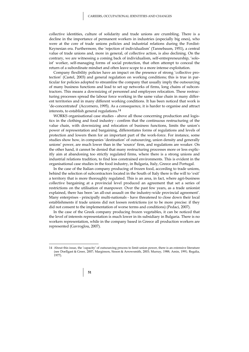collective identities, culture of solidarity and trade unions are crumbling. There is a decline in the importance of permanent workers in industries (especially big ones), who were at the core of trade unions policies and industrial relations during the Fordist-Keynesian era. Furthermore, the 'rejection of individualism' (Tannebaum, 1951), a central value of trade unions and, more in general, of collective action, is also declining. On the contrary, we are witnessing a coming back of individualism, self-entrepreneurship, 'soloist' worker, self-managing forms of social protection, that often attempt to conceal the return of a subordinate mindset and often leave scope to a more intense exploitation.

Company flexibility policies have an impact on the presence of strong 'collective protection' (Castel, 2003) and general regulation on working conditions; this is true in particular for policies adopted to streamline the company that usually imply the outsourcing of many business functions and lead to set up networks of firms, long chains of subcontractors. This means a downsizing of personnel and employees relocation. These restructuring processes spread the labour force working in the same value chain in many different territories and in many different working conditions. It has been noticed that work is 'de-concentrated' (Accornero, 1995). As a consequence, it is harder to organise and attract interests, to establish general regulations.14

WORKS organisational case studies - above all those concerning production and logistics in the clothing and food industry - confirm that the continuous restructuring of the value chain, with downsizing and relocation of business functions, limits the union's power of representation and bargaining, differentiates forms of regulations and levels of protection and lowers them for an important part of the work-force. For instance, some studies show how, in companies 'destination' of outsourcing, union density and generally unions' power, are much lower than in the 'source' firm, and regulations are weaker. On the other hand, it cannot be denied that many restructuring processes more or less explicitly aim at abandoning too strictly regulated firms, where there is a strong unions and industrial relations tradition, to find less constrained environments. This is evident in the organisational case studies in the food industry, in Bulgaria, Italy, Greece and Portugal.

In the case of the Italian company producing of frozen food, according to trade unions, behind the selection of subcontractors located in the South of Italy there is the will to 'exit' a territory that is more thoroughly regulated. This is an area, in fact, where agri-business collective bargaining at a provincial level produced an agreement that set a series of restrictions on the utilisation of manpower. Over the past few years, as a trade unionist explained, there has been 'an all-out assault on the industry-wide provincial agreement'. Many enterprises - principally multi-nationals - have threatened to close down their local establishments if trade unions did not loosen restrictions (or to be more precise: if they did not consent to the implementation of worse terms and conditions) (Pedaci, 2007).

In the case of the Greek company producing frozen vegetables, it can be noticed that the level of interests representation is much lower in its subsidiary in Bulgaria. There is no workers representation, while in the company based in Greece all production workers are represented (Gavroglou, 2007).

<sup>14</sup> About this issue, the 'capacity' of outsourcing process to limit union power, there is an extensive literature (see Doellgast & Greer, 2007; Marginson, Sisson & Arrowsmith, 2003; Murray, 1988; Amin, 1991; Regalia, 1977).

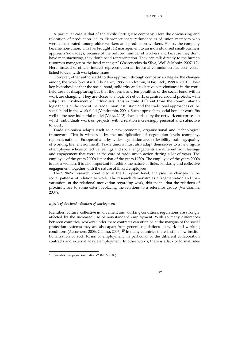A particular case is that of the textile Portuguese company. Here the downsizing and relocation of production led to disproportionate redundancies of union members who were concentrated among older workers and production workers. Hence, the company became non-union. This has brought HR management to an individualised small-business approach 'nowadays, because of the reduced number of workers and because they don't have manufacturing, they don't need representation. They can talk directly to the human resources manager or the head manager.' (Vasconcelos da Silva, Woll & Moniz, 2007: 17). Here, instead of official interest representation an informal commission has been established to deal with workplace issues.

However, other authors add to this approach through company strategies, the changes among the workforce itself (Thuderoz, 1995; Vendramin, 2004; Beck, 1998 & 2001). Their key hypothesis is that the social bond, solidarity and collective consciousness in the work field are not disappearing but that the forms and temporalities of the social bond within work are changing. They are closer to a logic of network, organised around projects, with subjective involvement of individuals. This is quite different from the communitarian logic that is at the core of the trade union institution and the traditional approaches of the social bond in the work field (Vendramin, 2004). Such approach to social bond at work fits well to the new industrial model (Veltz, 2003) characterised by the network enterprises, in which individuals work on projects, with a relation increasingly personal and subjective to work.

Trade unionism adapts itself to a new economic, organisational and technological framework. This is witnessed by the multiplication of negotiation levels (company, regional, national, European) and by wider negotiation areas (flexibility, training, quality of working life, environment). Trade unions must also adapt themselves to a new figure of employee, whose collective feelings and social engagements are different from feelings and engagement that were at the core of trade union action during a lot of years. The employee of the years 2000s is not that of the years 1970s. The employee of the years 2000s is also a woman. It is also important to rethink the nature of links, solidarity and collective engagement, together with the nature of linked employees.

The SPReW research, conducted at the European level, analyses the changes in the social patterns of relation to work. The research demonstrates a fragmentation and 'privatisation' of the relational motivation regarding work, this means that the relations of proximity are to some extent replacing the relations to a reference group (Vendramin, 2007).

### *Effects of de-standardisation of employment*

Identities, culture, collective involvement and working conditions regulations are strongly affected by the increased use of non-standard employment. With so many differences between countries, workers under these contracts can often be at the margins of the social protection systems; they are also apart from general regulations on work and working conditions (Accornero, 2006; Gallino, 2007).15 In many countries there is still a low institutionalisation of such forms of employment, in particular of the different collaboration contracts and external advice employment. In other words, there is a lack of formal rules



<sup>15</sup> See also European Foundation (2007b & 2008).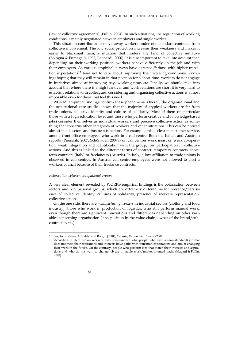(law or collective agreements) (Fullin, 2004). In such situations, the regulation of working conditions is mainly negotiated between employers and single worker.

This situation contributes to move away workers under non-standard contracts from collective involvement. The low social protection increases their weakness and makes it easier to blackmail them; a situation that hinders any kind of collective initiative (Bologna & Fumagalli, 1997; Leonardi, 2000). It is also important to take into account that, depending on their working position, workers behave differently on the job and with their employers. As various empirical surveys have detected,16 those with higher transition expectations17 tend not to care about improving their working conditions. Knowing/hoping that they will remain in that position for a short time, workers do not engage in initiatives aimed at improving pay, working time, *etc*. Finally, we should take into account that where there is a high turnover and work relations are short it is very hard to establish relations with colleagues; considering and organising collective actions is almost impossible even for those that feel this need.

WORKS empirical findings confirm these phenomena. Overall, the organisational and the occupational case studies shows that the majority of atypical workers are far from trade unions, collective identity and culture of solidarity. Most of them (in particular those with a high education level and those who perform creative and knowledge-based jobs) consider themselves as individual workers and perceive collective action as something that concerns other categories of workers and other situations. This can be noticed almost in all sectors and business functions. For example, this is clear in customer service, among front-office employees who work in a call centre. Both the Italian and Austrian reports (Piersanti, 2007; Schönauer, 2007a) on call centres work insist on weak co-operation, weak integration and identification with the group, low participation in collective actions. And this is linked to the different forms of contract: temporary contracts, shortterm contracts (Italy) or freelancers (Austria). In Italy, a low affiliation to trade unions is observed in call centres. In Austria, call centre employees were not allowed to elect a workers council because of their freelance contracts.

#### *Polarisation between occupational groups*

1

A very clear element revealed by WORKS empirical findings is the polarisation between sectors and occupational groups, which are extremely different as for presence/persistence of collective identity, cultures of solidarity, presence of workers representation, collective actions.

On the one side, there are *manufacturing workers* in industrial sectors (clothing and food industry); those who work in production or logistics, who still perform manual work, even though there are significant innovations and differences depending on other variables concerning organisation (size, position in the value chain, owner of the brand/subcontractor, *etc*.).

<sup>17</sup> According to literature on workers with non-standard jobs, people who have a (non-standard) job that does not meet their aspirations and interests have paths with transition expectations and aim at changing their work in the future. On the contrary, people who perform jobs that match their interests and aspirations and who do not want to change job are in stable work/market-oriented paths (Magatti & Fullin, 2002).



<sup>16</sup> See, for instance, Addabbo and Borghi (2001); Catania*,* Vaccaio and Zucca (2004).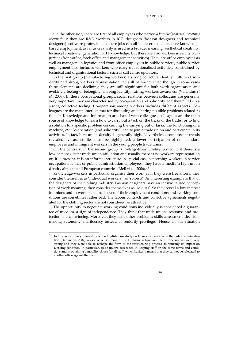On the other side, there are first of all employees who perform *knowledge-based (creative) occupations*; they are R&D workers in ICT, designers (fashion designers and technical designers), software professionals; these jobs can all be described as creative knowledgebased employment, as far as creativity is used in a broader meaning: aesthetical creativity, technical creativity, generation of IT knowledge. But there are also workers in *service occupations* (front-office, back-office and management activities). They are office employees as well as managers in logistics and front-office employees in public services; public service employment also includes workers who carry out rationalised activities, constrained by technical and organisational factors, such as call centre operators.

In the first group (manufacturing workers) a strong collective identity, culture of solidarity and strong workers representation can still be found. Even though in some cases these elements are declining, they are still significant for both work organisation and evoking a feeling of belonging, shaping identity, raising workers awareness (Valenduc *et al.*, 2008). In these occupational groups, social relations between colleagues are generally very important; they are characterised by co-operation and solidarity and they build up a strong collective feeling. Co-operation among workers includes different aspects. Colleagues are the main interlocutors for discussing and sharing possible problems related to the job. Knowledge and information are shared with colleagues; colleagues are the main source of knowledge to learn how to carry out a task or 'the tricks of the trade', or to find a solution to a specific problem concerning the carrying out of tasks, the functioning of a machine, *etc*. Co-operation (and solidarity) lead to join a trade union and participate in its activities. In fact, here union density is generally high. Nevertheless, some recent trends revealed by case studies must be highlighted: a lower participation of non-standard employees and immigrant workers in the young people trade union.

On the contrary, in the second group *(knowledge-based 'creative' occupations)* there is a low or nonexistent trade union affiliation and usually there is no workers representation or, it is present, it is an informal structure. A special case concerning workers in service occupations is that of public administration employees; they have a medium-high union density almost in all European countries (Meil *et al.*, 2006).18

Knowledge-workers in particular organise their work as if they were freelancers, they consider themselves as 'individual workers', as 'soloists'. An interesting example is that of the designers of the clothing industry. Fashion designers have an individualised conception of work meaning; they consider themselves as 'soloists'. So they reveal a low interest in unions and in workers councils even if their employment conditions and working conditions are sometimes rather bad. The labour contracts and collective agreements negotiated for the clothing sector are not considered as attractive.

The opportunity to negotiate working conditions individually is considered a guarantee of freedom, a sign of independence. They think that trade unions response and protection is unconvincing. Moreover, they raise other problems: skills assessment, decisionmaking autonomy, meritocracy instead of seniority privileges. Hence, in this situation

 $\overline{a}$ 



 $^{18}$  In this context, very interesting is the English case study on IT service provider in the public administration (Dahlmann, 2007), a case of outsourcing of the IT business function. Here trade unions were very strong and they were able to reshape the form of the restructuring process, minimising its impact on working condition. In particular, trade unions succeeded in keeping staff on the same terms and conditions and in obtaining a mobility clause for all staff, which basically means that they cannot be relocated to another office against their will.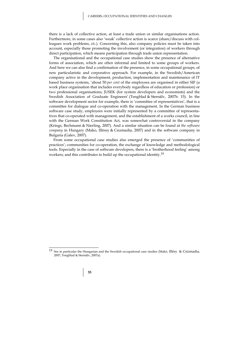there is a lack of collective action, at least a trade union or similar organisations action. Furthermore, in some cases also 'weak' collective action is scarce (share/discuss with colleagues work problems, *etc*.). Concerning this, also company policies must be taken into account, especially those promoting the involvement (or integration) of workers through direct participation, which means participation through trade union representation.

The organisational and the occupational case studies show the presence of alternative forms of association, which are often informal and limited to some groups of workers. And here we can also find a confirmation of the presence, in some occupational groups, of new particularistic and corporative approach. For example, in the Swedish/American company active in the development, production, implementation and maintenance of IT based business systems, 'about 50 *per cent* of the employees are organised in either SIF (a work place organisation that includes everybody regardless of education or profession) or two professional organisations; JUSEK (for system developers and economists) and the Swedish Association of Graduate Engineers' (Tengblad & Sternälv, 2007b: 15). In the software development sector for example, there is 'committee of representatives', that is a committee for dialogue and co-operation with the management. In the German business software case study, employees were initially represented by a committee of representatives that co-operated with management, and the establishment of a works council, in line with the German Work Constitution Act, was somewhat controversial in the company (Krings, Bechmann & Nierling, 2007). And a similar situation can be found at *the software company* in Hungary (Mako, Illéssy & Csizmadia, 2007) and in the software company in Bulgaria (Galev, 2007).

From some occupational case studies also emerged the presence of 'communities of practices'; communities for co-operation, the exchange of knowledge and methodological tools. Especially in the case of software developers, there is a 'brotherhood feeling' among workers; and this contributes to build up the occupational identity.19

### **55**

<sup>&</sup>lt;sup>19</sup> See in particular the Hungarian and the Swedish occupational case studies (Makó, Illésy & Csizmadia, 2007; Tengblad & Sternälv, 2007a).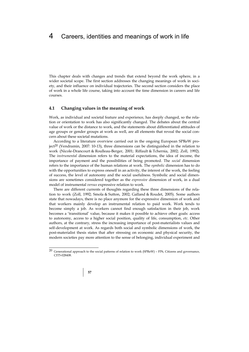This chapter deals with changes and trends that extend beyond the work sphere, in a wider societal scope. The first section addresses the changing meanings of work in society, and their influence on individual trajectories. The second section considers the place of work in a whole life course, taking into account the time dimension in careers and life courses.

### **4.1 Changing values in the meaning of work**

Work, as individual and societal feature and experience, has deeply changed, so the relation or orientation to work has also significantly changed. The debates about the central value of work or the distance to work, and the statements about differentiated attitudes of age groups or gender groups at work as well, are all elements that reveal the social concern about these societal mutations.

According to a literature overview carried out in the ongoing European SPReW project<sup>20</sup> (Vendramin, 2007: 10-13), three dimensions can be distinguished in the relation to work (Nicole-Drancourt & Roulleau-Berger, 2001; Riffault & Tchernia, 2002; Zoll, 1992). The *instrumental* dimension refers to the material expectations, the idea of income, the importance of payment and the possibilities of being promoted. The *social* dimension refers to the importance of the human relations at work. The *symbolic* dimension has to do with the opportunities to express oneself in an activity, the interest of the work, the feeling of success, the level of autonomy and the social usefulness. Symbolic and social dimensions are sometimes considered together as the *expressive* dimension of work, in a dual model of instrumental *versus* expressive relation to work.

There are different currents of thoughts regarding these three dimensions of the relation to work (Zoll, 1992; Smola & Sutton, 2002; Galland & Roudet, 2005). Some authors state that nowadays, there is no place anymore for the expressive dimension of work and that workers mainly develop an instrumental relation to paid work. Work tends to become simply a job. As workers cannot find enough satisfaction in their job, work becomes a 'transitional' value, because it makes it possible to achieve other goals: access to autonomy, access to a higher social position, quality of life, consumption, *etc*. Other authors, at the contrary, stress the increasing importance of post-materialists values and self-development at work. As regards both social and symbolic dimensions of work, the post-materialist thesis states that after stressing on economic and physical security, the modern societies pay more attention to the sense of belonging, individual experiment and

<sup>&</sup>lt;sup>20</sup> Generational approach to the social patterns of relation to work (SPReW) – FP6, Citizens and governance, CIT5-028408.

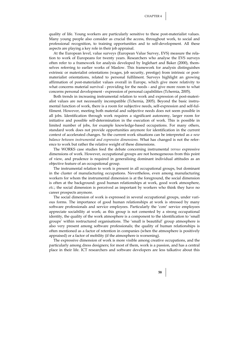quality of life. Young workers are particularly sensitive to these post-materialist values. Many young people also consider as crucial the access, throughout work, to social and professional recognition, to training opportunities and to self-development. All these aspects are playing a key role in their job appraisal.

At the European level, value surveys (European Value Survey, EVS) measure the relation to work of Europeans for twenty years. Researchers who analyse the EVS surveys often refer to a framework for analysis developed by Inglehart and Baker (2000), themselves referring to earlier works of Maslow. This framework for analysis distinguishes extrinsic or materialist orientations (wages, job security, prestige) from intrinsic or postmaterialist orientations, related to personal fulfilment. Surveys highlight an growing affirmation of post-materialist values overall in Europe, which give more relativity to what concerns material survival - providing for the needs - and give more room to what concerns personal development - expression of personal capabilities (Tchernia, 2005).

Both trends in increasing instrumental relation to work and expression of post-materialist values are not necessarily incompatible (Tchernia, 2005). Beyond the basic instrumental function of work, there is a room for subjective needs, self-expression and self-fulfilment. However, meeting both material and subjective needs does not seem possible in all jobs. Identification through work requires a significant autonomy, larger room for initiative and possible self-determination in the execution of work. This is possible in limited number of jobs, for example knowledge-based occupations. For many others, standard work does not provide opportunities anymore for identification in the current context of accelerated changes. So the current work situations can be interpreted as *a new balance between instrumental and expressive dimensions.* What has changed is not the reference to work but rather the relative weight of these dimensions.

The WORKS case studies feed the debate concerning instrumental *versus* expressive dimensions of work. However, occupational groups are not homogeneous from this point of view, and prudence is required in generalising dominant individual attitudes as an objective feature of an occupational group.

The instrumental relation to work is present in all occupational groups, but dominant in the cluster of manufacturing occupations. Nevertheless, even among manufacturing workers for whom the instrumental dimension is at the foreground, the social dimension is often at the background: good human relationships at work, good work atmosphere, *etc*.; the social dimension is perceived as important by workers who think they have no career prospects anymore.

The social dimension of work is expressed in several occupational groups, under various forms. The importance of good human relationships at work is stressed by many software professionals and service employees. Particularly the 'core' service employees appreciate sociability at work; as this group is not cemented by a strong occupational identity, the quality of the work atmosphere is a component to the identification to 'small groups' within restructured organisations. The 'small is beautiful' group atmosphere is also very present among software professionals; the quality of human relationships is often mentioned as a factor of retention in companies (when the atmosphere is positively appraised) or a factor of mobility (if the atmosphere is worsening).

The expressive dimension of work is more visible among creative occupations, and the particularly among dress designers; for most of them, work is a passion, and has a central place in their life. ICT researchers and software developers are less talkative about this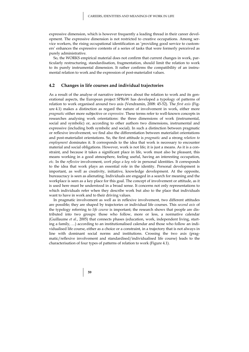expressive dimension, which is however frequently a leading thread in their career development. The expressive dimension is not restricted to creative occupations. Among service workers, the rising occupational identification as 'providing good service to customers' enhances the expressive contents of a series of tasks that were formerly perceived as purely administrative.

So, the WORKS empirical material does not confirm that current changes in work, particularly restructuring, standardisation, fragmentation, should limit the relation to work to its purely instrumental dimension. It rather confirms the compatibility of an instrumental relation to work and the expression of post-materialist values.

#### **4.2 Changes in life courses and individual trajectories**

As a result of the analyse of narrative interviews about the relation to work and its generational aspects, the European project SPReW has developed a typology of patterns of relation to work organised around two axis (Vendramin, 2008: 45-52). The *first axis* (Figure 4.1) makes a distinction as regard the nature of involvement in work, either more *pragmatic* either more subjective or *expressive*. These terms refer to well-known concepts in researches analysing work orientations: the three dimensions of work (instrumental, social and symbolic) or, according to other authors two dimensions, instrumental and expressive (including both symbolic and social). In such a distinction between pragmatic or reflexive involvement, we find also the differentiation between materialist orientations and post-materialist orientations. So, the first attitude is *pragmatic* and a strong *relation to employment* dominates it. It corresponds to the idea that work is necessary to encounter material and social obligations. However, work is not life; it is just a means. As it is a constraint, and because it takes a significant place in life, work must also be pleasant, this means working in a good atmosphere, feeling useful, having an interesting occupation, *etc*. In the *reflexive* involvement, *work plays a key role* in personal identities. It corresponds to the idea that work plays an essential role in the identity. Personal development is important, as well as creativity, initiative, knowledge development. At the opposite, bureaucracy is seen as alienating. Individuals are engaged in a search for meaning and the workplace is seen as a key place for this goal. The concept of involvement or attitude, as it is used here must be understood in a broad sense. It concerns not only representations to which individuals refer when they describe work but also to the place that individuals want to have in work and to their driving values.

In pragmatic involvement as well as in reflexive involvement, two different attitudes are possible; they are shaped by trajectories or individual life courses. This *second axis* of the typology referring to *life course* is important; the research shows that people are distributed into two groups: those who follow, more or less, a normative calendar (Guillaume *et al.*, 2005) that connects phases (education, work, independent living, starting a family, …) according to an institutionalised calendar and those who follow an individualised life course, either as a choice or a constraint, in a trajectory that is not always in line with dominant social norms and institutions. Crossing the two axis (pragmatic/reflexive involvement and standardised/individualised life course) leads to the characterisation of four types of patterns of relation to work (Figure 4.1).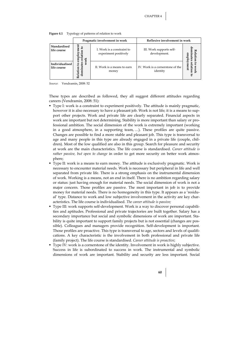|                                      | Pragmatic involvement in work   |                                                     | Reflexive involvement in work                |                                 |  |
|--------------------------------------|---------------------------------|-----------------------------------------------------|----------------------------------------------|---------------------------------|--|
| Standardised<br>life course          | ymen<br>요<br>5<br>Ĕ<br>ਜ਼       | I. Work is a constraint to<br>experiment positively | III. Work supports self-<br>development.     | Rel<br>lation                   |  |
| <b>Individualised</b><br>life course | dominates<br>≳<br>2<br>Relation | II. Work is a means to earn<br>money                | IV. Work is a cornerstone of the<br>identity | 5<br>lation<br>ent<br>ork<br>కె |  |

Figure 4.1 Typology of patterns of relation to work

*Source*: Vendramin, 2008: 52

These types are described as followed, they all suggest different attitudes regarding careers (Vendramin, 2008: 51):

- Type I: work is a constraint to experiment positively. The attitude is mainly pragmatic, however it is also necessary to have a pleasant job. Work is not life; it is a means to support other projects. Work and private life are clearly separated. Financial aspects in work are important but not determining. Stability is more important than salary or professional ambition. The social dimension of the work is extremely important (working in a good atmosphere, in a supporting team, …). These profiles are quite passive. Changes are possible to find a more stable and pleasant job. This type is transversal to age and many people in this type are already engaged in a private life (couple, children). Most of the low qualified are also in this group. Search for pleasure and security at work are the main characteristics. The life course is standardised. *Career attitude is rather passive, but open to change* in order to get more security on better work atmosphere;
- Type II: work is a means to earn money. The attitude is exclusively pragmatic. Work is necessary to encounter material needs. Work is necessary but peripheral in life and well separated from private life. There is a strong emphasis on the instrumental dimension of work. Working is a means, not an end in itself. There is no ambition regarding salary or status: just having enough for material needs. The social dimension of work is not a major concern. Those profiles are passive. The most important in job is to provide money for material needs. There is no homogeneity in this type. It appears as a 'residual' type. Distance to work and low subjective involvement in the activity are key characteristics. The life course is individualised. *The career attitude is passive;*
- Type III: work supports self-development. Work is a way to discover personal capabilities and aptitudes. Professional and private trajectories are built together. Salary has a secondary importance but social and symbolic dimensions of work are important. Stability is quite important to support family projects but is not essential (changes are possible). Colleagues and managers provide recognition. Self-development is important. Those profiles are proactive. This type is transversal to age, sectors and levels of qualifications. A key characteristic is the involvement in both professional and private life (family project). The life course is standardised. *Career attitude is proactive*;
- Type IV: work is a cornerstone of the identity. Involvement in work is highly subjective. Success in life is subordinated to success in work. The instrumental and symbolic dimensions of work are important. Stability and security are less important. Social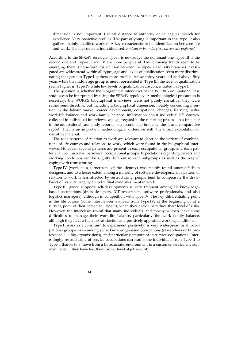dimension is not important. Critical distance to authority or colleagues. Search for excellence. Very proactive profiles. The part of young is important in this type. It also gathers mainly qualified workers A key characteristic is the identification between life and work. The life course is individualised. *Protean or boundaryless careers are preferred*.

According to the SPReW research, Type I is nowadays the dominant one. Type III is the second one and Types II and IV are more peripheral. The following trends seem to be emerging: there is no sectoral distribution between the types, all activity branches investigated are widespread within all types; age and levels of qualification seem more discriminating that gender; Type I gathers more profiles below thirty years old and above fifty years while the middle age group is more represented in Type III; the level of qualification seems higher in Type IV while low levels of qualification are concentrated in Type I.

The question is whether the biographical interviews of the WORKS occupational case studies can be interpreted by using the SPReW typology. A methodological precaution is necessary: the WORKS biographical interviews were not purely narrative, they were rather semi-directive, but including a biographical dimension, notably concerning insertion in the labour market, career development, occupational changes, learning paths, work-life balance and work-family balance. Information about individual life courses, collected in individual interviews, was aggregated in the reporting process: in a first step in the occupational case study reports, in a second step in the synthesis and comparative report. That is an important methodological difference with the direct exploitation of narrative material.

The four patterns of relation to work are relevant to describe the variety of combinations of life courses and relations to work, which were found in the biographical interviews. However, several patterns are present in each occupational group, and each pattern can be illustrated by several occupational groups. Expectations regarding careers and working conditions will be slightly different in each subgroups as well as the way of coping with restructuring.

Type IV (work as a cornerstone of the identity) was mainly found among fashion designers, and to a lesser extent among a minority of software developers. This pattern of relation to work is less affected by restructuring: people tend to compensate the drawbacks of restructuring by an individual overinvestment in work.

Type III (work supports self-development) is very frequent among all knowledgebased occupations (dress designers, ICT researchers, software professionals, and also logistics managers), although in competition with Type IV. The key differentiating point is the life course. Some interviewees evolved from Type IV, at the beginning or at a turning point of their career, to Type III, when they decide to reduce their level of risks. However, the interviews reveal that many individuals, and mostly women, have some difficulties to manage their work-life balance, particularly the work family balance, although they have a high job satisfaction and positively appraised working conditions.

Type I (work as a constraint to experiment positively) is very widespread in all occupational groups, even among some knowledge-based occupations (researchers or IT professionals is big organisations), and particularly important in service occupations. Interestingly, restructuring of service occupations can lead some individuals from Type II to Type I, thanks to a move from a bureaucratic environment to a customer service environment, even if they have lost their former level of job security.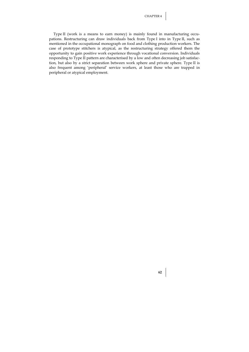Type II (work is a means to earn money) is mainly found in manufacturing occupations. Restructuring can draw individuals back from Type I into in Type II, such as mentioned in the occupational monograph on food and clothing production workers. The case of prototype stitchers is atypical, as the restructuring strategy offered them the opportunity to gain positive work experience through vocational conversion. Individuals responding to Type II pattern are characterised by a low and often decreasing job satisfaction, but also by a strict separation between work sphere and private sphere. Type II is also frequent among 'peripheral' service workers, at least those who are trapped in peripheral or atypical employment.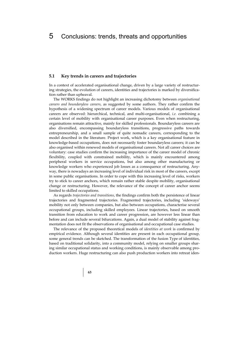### **5.1 Key trends in careers and trajectories**

In a context of accelerated organisational change, driven by a large variety of restructuring strategies, the evolution of careers, identities and trajectories is marked by diversification rather than upheaval.

The WORKS findings do not highlight an increasing dichotomy between *organisational careers and boundaryless careers*, as suggested by some authors. They rather confirm the hypothesis of a widening spectrum of career models. Various models of organisational careers are observed: hierarchical, technical, and multi-organisational, *i.e.* combining a certain level of mobility with organisational career purposes. Even when restructuring, organisations remain attractive, mainly for skilled professionals. Boundaryless careers are also diversified, encompassing boundaryless transitions, progressive paths towards entrepreneurship, and a small sample of quite nomadic careers, corresponding to the model described in the literature. Project work, which is a key organisational feature in knowledge-based occupations, does not necessarily foster boundaryless careers; it can be also organised within renewed models of organisational careers. Not all career choices are voluntary: case studies confirm the increasing importance of the career model of chronic flexibility, coupled with constrained mobility, which is mainly encountered among peripheral workers in service occupations, but also among other manufacturing or knowledge workers who experienced job losses as a consequence of restructuring. Anyway, there is nowadays an increasing level of individual risk in most of the careers, except in some public organisations. In order to cope with this increasing level of risks, workers try to stick to career anchors, which remain rather stable despite mobility, organisational change or restructuring. However, the relevance of the concept of career anchor seems limited to skilled occupations.

As regards *trajectories and transitions*, the findings confirm both the persistence of linear trajectories and fragmented trajectories. Fragmented trajectories, including 'sideways' mobility not only between companies, but also between occupations, characterise several occupational groups, including skilled employees. Linear trajectories, based on smooth transition from education to work and career progression, are however less linear than before and can include several bifurcations. Again, a dual model of stability against fragmentation does not fit the observations of organisational and occupational case studies.

The relevance of the proposed theoretical models of *identities at work* is confirmed by empirical evidence. Although several identities are present in each occupational group, some general trends can be sketched. The transformation of the fusion Type of identities, based on traditional solidarity, into a community model, relying on smaller groups sharing similar occupational status and working conditions, is mainly observable among production workers. Huge restructuring can also push production workers into retreat iden-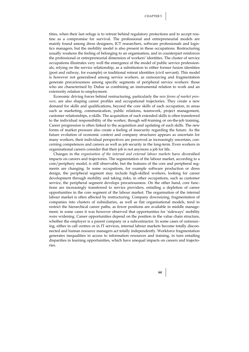tities, when their last refuge is to retreat behind regulatory protections and to accept routine as a compromise for survival. The professional and entrepreneurial models are mainly found among dress designers, ICT researchers, software professionals and logistics managers, but the mobility model is also present in these occupations. Restructuring usually weakens the feeling of belonging to an organisation, and in counterpart reinforces the professional or entrepreneurial dimension of workers' identities. The cluster of service occupations illustrates very well the emergence of the model of public service professionals, relying on the service relationship, as a substitution to either former fusion identities (post and railway, for example) or traditional retreat identities (civil servant). This model is however not generalised among service workers, as outsourcing and fragmentation generate precariousness among specific segments of peripheral service workers: those who are characterised by Dubar as combining an instrumental relation to work and an exteriority relation to employment.

Economic driving forces behind restructuring, particularly the *new forms of market pressure*, are also shaping career profiles and occupational trajectories. They create a new demand for skills and qualifications, beyond the core skills of each occupation, in areas such as marketing, communication, public relations, teamwork, project management, customer relationships, e-skills. The acquisition of such extended skills is often transferred to the individual responsibility of the worker, though self-training or on-the-job training. Career progression is often linked to the acquisition and updating of such skills. The new forms of market pressure also create a feeling of insecurity regarding the future. As the future evolution of economic context and company structures appears as uncertain for many workers, their individual perspectives are perceived as increasingly uncertain, concerning competences and careers as well as job security in the long-term. Even workers in organisational careers consider that their job is not anymore a job for life.

Changes in the *organisation of the internal and external labour markets* have diversified impacts on careers and trajectories. The segmentation of the labour market, according to a core/periphery model, is still observable, but the features of the core and peripheral segments are changing. In some occupations, for example software production or dress design, the peripheral segment may include high-skilled workers, looking for career development through mobility and taking risks; in other occupations, such as customer service, the peripheral segment develops precariousness. On the other hand, core functions are increasingly transferred to service providers, entailing a depletion of career opportunities in the core segment of the labour market. The organisation of the internal labour market is often affected by restructuring. Company downsizing, fragmentation of companies into clusters of subsidiaries, as well as flat organisational models, tend to restrict the hierarchical career paths, as fewer positions are available in middle management; in some cases it was however observed that opportunities for 'sideways' mobility were widening. Career opportunities depend on the position in the value chain structure, whether the employer is a parent company or a subcontractor. In some cases of outsourcing, either in call centres or in IT services, internal labour markets become totally disconnected and human resource managers act totally independently. Workforce fragmentation generates inequalities in access to information resources and training, in turn entailing disparities in learning opportunities, which have unequal impacts on careers and trajectories.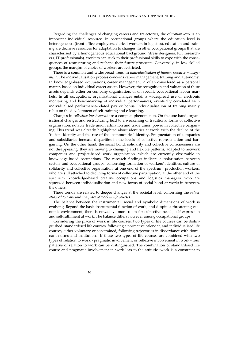Regarding the challenges of changing careers and trajectories, the *education level* is an important individual resource. In occupational groups where the education level is heterogeneous (front-office employees, clerical workers in logistics), education and training are decisive resources for adaptation to changes. In other occupational groups that are characterised by a homogeneous educational background (dress designers, ICT researchers, IT professionals), workers can stick to their professional skills to cope with the consequences of restructuring and reshape their future prospects. Conversely, in low-skilled groups, the margins of choice of workers are restricted.

There is a common and widespread trend in *individualisation of human resource management*. The individualisation process concerns career management, training and autonomy. In knowledge-based occupations, career management id often considered as a personal matter, based on individual career assets. However, the recognition and valuation of these assets depends either on company organisation, or on specific occupational labour markets. In all occupations, organisational changes entail a widespread use of electronic monitoring and benchmarking of individual performances, eventually correlated with individualised performance-related pay or bonus. Individualisation of training mainly relies on the development of self-training and e-learning.

Changes in *collective involvement* are a complex phenomenon. On the one hand, organisational changes and restructuring lead to a weakening of traditional forms of collective organisation, notably trade union affiliation and trade union power in collective bargaining. This trend was already highlighted about identities at work, with the decline of the 'fusion' identity and the rise of the 'communities' identity. Fragmentation of companies and subsidiaries increase disparities in the levels of collective representation and bargaining. On the other hand, the social bond, solidarity and collective consciousness are not disappearing; they are moving to changing and flexible patterns, adapted to network companies and project-based work organisation, which are currently observable in knowledge-based occupations. The research findings indicate a polarisation between sectors and occupational groups, concerning formation of workers' identities, culture of solidarity and collective organisation: at one end of the spectrum, production workers, who are still attached to declining forms of collective participation; at the other end of the spectrum, knowledge-based creative occupations and logistics managers, who are squeezed between individualisation and new forms of social bond at work; in-between, the others.

These trends are related to deeper changes at the societal level, concerning the *values attached to work* and the *place of work in life courses*.

The balance between the instrumental, social and symbolic dimensions of work is evolving. Beyond the basic instrumental function of work, and despite a threatening economic environment, there is nowadays more room for subjective needs, self-expression and self-fulfilment at work. The balance differs however among occupational groups.

Considering the place of work in life courses, two types of life courses can be distinguished: standardised life courses, following a normative calendar, and individualised life courses, either voluntary or constrained, following trajectories in discordance with dominant norms and institutions. If these two types of life courses are combined with two types of relation to work - pragmatic involvement or reflexive involvement in work - four patterns of relation to work can be distinguished. The combination of standardised life course and pragmatic involvement in work leas to the attitude 'work is a constraint to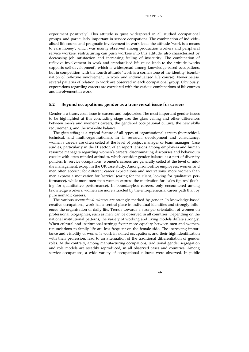experiment positively'. This attitude is quite widespread in all studied occupational groups, and particularly important in service occupations. The combination of individualised life course and pragmatic involvement in work leads the attitude 'work is a means to earn money', which was mainly observed among production workers and peripheral service workers; restructuring can push workers into this attitude, also characterised by decreasing job satisfaction and increasing feeling of insecurity. The combination of reflexive involvement in work and standardised life cause leads to the attitude 'works supports self-development', which is widespread among knowledge-based occupations, but in competition with the fourth attitude 'work is a cornerstone of the identity' (combination of reflexive involvement in work and individualised life course). Nevertheless, several patterns of relation to work are observed in each occupational group. Obviously, expectations regarding careers are correlated with the various combinations of life courses and involvement in work.

### **5.2 Beyond occupations: gender as a transversal issue for careers**

Gender is a transversal issue in careers and trajectories. The most important gender issues to be highlighted at this concluding stage are: the glass ceiling and other differences between men's and women's careers, the gendered occupational culture, the new skills requirements, and the work-life balance.

The *glass ceiling* is a typical feature of all types of organisational careers (hierarchical, technical, and multi-organisational). In IT research, development and consultancy, women's careers are often ceiled at the level of project manager or team manager. Case studies, particularly in the IT sector, often report tensions among employers and human resource managers regarding women's careers: discriminating discourses and behaviours coexist with open-minded attitudes, which consider gender balance as a part of diversity policies. In service occupations, women's careers are generally ceiled at the level of middle management, except in the UK case study. Among front-office employees, women and men often account for different career expectations and motivations: more women than men express a motivation for 'service' (caring for the client, looking for qualitative performance), while more men than women express the motivation for 'sales figures' (looking for quantitative performance). In boundaryless careers, only encountered among knowledge workers, women are more attracted by the entrepreneurial career path than by pure nomadic careers.

The various *occupational cultures* are strongly marked by gender. In knowledge-based creative occupations, work has a central place in individual identities and strongly influences the organisation of daily life. Trends towards a stronger orientation of women on professional biographies, such as men, can be observed in all countries. Depending on the national institutional patterns, the variety of working and living models differs strongly. When cultural and institutional settings foster more equality between men and women, renunciations to family life are less frequent on the female side. The increasing importance and visibility of women's work in skilled occupations, and their high identification with their profession, lead to an attenuation of the traditional differentiation of gender roles. At the contrary, among manufacturing occupations, traditional gender segregation and role models are steadily reproduced, in all observed cases and countries. Among service occupations, a wide variety of occupational cultures were observed. In public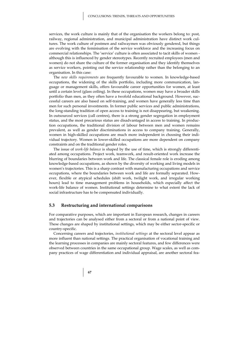services, the work culture is mainly that of the organisation the workers belong to: post, railway, regional administration, and municipal administration have distinct work cultures. The work culture of postmen and railwaymen was obviously gendered, but things are evolving with the feminisation of the service workforce and the increasing focus on commercial relationships. The 'service' culture is often associated to tacit skills of women although this is influenced by gender stereotypes. Recently recruited employees (men and women) do not share the culture of the former organisation and they identify themselves as service workers, pointing out the service relationship rather than the belonging to an organisation. In this case:

The *new skills requirements* are frequently favourable to women. In knowledge-based occupations, the widening of the skills portfolio, including more communication, language or management skills, offers favourable career opportunities for women, at least until a certain level (glass ceiling). In these occupations, women may have a broader skills portfolio than men, as they often have a twofold educational background. However, successful careers are also based on self-training, and women have generally less time than men for such personal investments. In former public services and public administrations, the long-standing tradition of open access to training is not disappearing, but weakening. In outsourced services (call centres), there is a strong gender segregation in employment status, and the most precarious status are disadvantaged in access to training. In production occupations, the traditional division of labour between men and women remains prevalent, as well as gender discriminations in access to company training. Generally, women in high-skilled occupations are much more independent in choosing their individual trajectory. Women in lower-skilled occupations are more dependent on company constraints and on the traditional gender roles.

The issue of *work-life balance* is shaped by the use of time, which is strongly differentiated among occupations. Project work, teamwork, and result-oriented work increase the blurring of boundaries between work and life. The classical female role is eroding among knowledge-based occupations, as shown by the diversity of working and living models in women's trajectories. This is a sharp contrast with manufacturing occupations and service occupations, where the boundaries between work and life are formally separated. However, flexible or atypical schedules (shift work, twilight work, and irregular working hours) lead to time management problems in households, which especially affect the work-life balance of women. Institutional settings determine to what extent the lack of social infrastructure has to be compensated individually.

#### **5.3 Restructuring and international comparisons**

For comparative purposes, which are important in European research, changes in careers and trajectories can be analysed either from a sectoral or from a national point of view. These changes are shaped by institutional settings, which may be either sector-specific or country-specific.

Concerning careers and trajectories, *institutional settings* at the sectoral level appear as more influent than national settings. The practical organisation of vocational training and the learning processes in companies are mainly sectoral features, and few differences were observed between countries in the same occupational group. Wage scales, as well as company practices of wage differentiation and individual appraisal, are another sectoral fea-

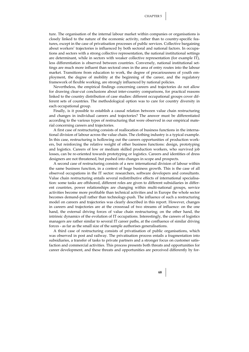ture. The organisation of the internal labour market within companies or organisations is closely linked to the nature of the economic activity, rather than to country-specific features, except in the case of privatisation processes of public services. Collective bargaining about workers' trajectories is influenced by both sectoral and national factors. In occupations and sectors with a strong collective representation, the national institutional settings are determinant, while in sectors with weaker collective representation (for example IT), less differentiation is observed between countries. Conversely, national institutional settings are much more influent than sectoral ones in the area of entry routes into the labour market. Transitions from education to work, the degree of precariousness of youth employment, the degree of mobility at the beginning of the career, and the regulatory framework of flexible working, are strongly influenced by national policies.

Nevertheless, the empirical findings concerning careers and trajectories do not allow for drawing clear-cut conclusions about inter-country comparisons, for practical reasons linked to the country distribution of case studies: different occupational groups cover different sets of countries. The methodological option was to care for country diversity in each occupational group.

Finally, is it possible to establish a causal relation between value chain restructuring and changes in individual careers and trajectories? The answer must be differentiated according to the various types of restructuring that were observed in our empirical material concerning careers and trajectories.

A first case of restructuring consists of reallocation of business functions in the international division of labour across the value chain. The clothing industry is a typical example. In this case, restructuring is hollowing out the careers opportunities of production workers, but reinforcing the relative weight of other business functions: design, prototyping and logistics. Careers of low or medium skilled production workers, who survived job losses, can be re-oriented towards prototyping or logistics. Careers and identities of dress designers are not threatened, but pushed into changes in scope and prospects.

A second case of restructuring consists of a new international division of labour within the same business function, in a context of huge business growth. This is the case of all observed occupations in the IT sector: researchers, software developers and consultants. Value chain restructuring entails several redistributive effects of international specialisation: some tasks are offshored, different roles are given to different subsidiaries in different countries, power relationships are changing within multi-national groups, service activities become more profitable than technical activities and in Europe the whole sector becomes demand-pull rather than technology-push. The influence of such a restructuring model on careers and trajectories was clearly described in this report. However, changes in careers and trajectories are at the crossroad of two streams of influence: on the one hand, the external driving forces of value chain restructuring; on the other hand, the intrinsic dynamics of the evolution of IT occupations. Interestingly, the careers of logistics managers are rather similar to several IT career paths, at the confluence of similar driving forces - as far as the small size of the sample authorises generalisations.

A third case of restructuring consists of privatisation of public organisations, which was observed in post and railway. The privatisation process entails a fragmentation into subsidiaries, a transfer of tasks to private partners and a stronger focus on customer satisfaction and commercial activities. This process presents both threats and opportunities for career development, and these threats and opportunities are perceived differently by for-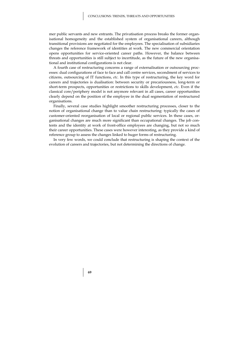mer public servants and new entrants. The privatisation process breaks the former organisational homogeneity and the established system of organisational careers, although transitional provisions are negotiated for the employees. The specialisation of subsidiaries changes the reference framework of identities at work. The new commercial orientation opens opportunities for service-oriented career paths. However, the balance between threats and opportunities is still subject to incertitude, as the future of the new organisational and institutional configurations is not clear.

A fourth case of restructuring concerns a range of externalisation or outsourcing processes: dual configurations of face to face and call centre services, secondment of services to citizens, outsourcing of IT functions, *etc*. In this type of restructuring, the key word for careers and trajectories is dualisation: between security or precariousness, long-term or short-term prospects, opportunities or restrictions to skills development, *etc*. Even if the classical core/periphery model is not anymore relevant in all cases, career opportunities clearly depend on the position of the employee in the dual segmentation of restructured organisations.

Finally, several case studies highlight smoother restructuring processes, closer to the notion of organisational change than to value chain restructuring: typically the cases of customer-oriented reorganisation of local or regional public services. In these cases, organisational changes are much more significant than occupational changes. The job contents and the identity at work of front-office employees are changing, but not so much their career opportunities. These cases were however interesting, as they provide a kind of reference group to assess the changes linked to huger forms of restructuring.

In very few words, we could conclude that restructuring is shaping the context of the evolution of careers and trajectories, but not determining the directions of change.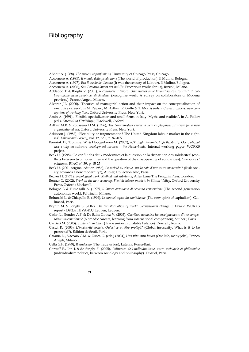## **Bibliography**

Abbott A. (1988), *The system of professions*, University of Chicago Press, Chicago.

Accornero A. (1995), *Il mondo della produzione* (The world of production), Il Mulino, Bologna.

Accornero A. (1997), *Era il secolo del Lavoro* (It was the century of Labour), Il Mulino, Bologna.

Accornero A. (2006), *San Precario lavora per noi* (St. Precarious works for us), Rizzoli, Milano.

- Addabbo T. & Borghi V. (2001), *Riconoscere il lavoro. Una ricerca sulle lavoratrici con contratti di collaborazione nella provincia di Modena* (Recognise work. A survey on collaborators of Modena province), Franco Angeli, Milano.
- Alvarez J.L. (2000), 'Theories of managerial action and their impact on the conceptualisation of executive careers', in M. Peiperl, M. Arthur, R. Goffe & T. Morris (eds.), *Career frontiers: new conceptions of working lives*, Oxford University Press, New York.
- Amin A. (1991), 'Flexible specialization and small firms in Italy: Myths and realities', in A. Pollert (ed.), *Farewell to Flexibility?,* Blackwell, Oxford.
- Arthur M.B. & Rousseau D.M. (1996), *The boundaryless career: a new employment principle for a new organizational era*, Oxford University Press, New York.
- Atkinson J. (1987), 'Flexibility or fragmentation? The United Kingdom labour market in the eighties', *Labour and Society*, vol. 12, n° 1, p. 87-105.
- Bannink D., Trommel W. & Hoogenboom M. (2007), *ICT: high demands, high flexibility. Occupational case study on software development services - the Netherlands*, Internal working paper, WORKS project.
- Beck U. (1998), 'Le conflit des deux modernités et la question de la disparition des solidarités' (conflicts between two modernities and the question of the disappearing of solidarities), *Lien social et politiques,* RIAC, n° 39, p. 15-25.
- Beck U. (2001 original édition 1986), *La société du risque, sur la voie d'une autre modernité?* (Risk society, towards a new modernity?), Aubier, Collection Alto, Paris.
- Becker H. (1971), *Sociological work. Method and substance,* Allen Lane The Penguin Press, London.
- Benner C. (2002), *Work in the new economy. Flexible labour markets in Silicon Valley*, Oxford University Press, Oxford/Blackwell.
- Bologna S. & Fumagalli A. (1997*), Il lavoro autonomo di seconda generazione* (The second generation autonomus work), Feltrinelli, Milano.
- Boltanski L. & Chiapello E. (1999), *Le nouvel esprit du capitalisme* (The new spirit of capitalism), Gallimard, Paris.
- Brynin M. & Longhi S. (2007), *The transformation of work? Occupational change in Europe,* WORKS report - D9.2.4, HIVA-K.U.Leuven, Leuven.

Cadin L., Bender A.F. & De Saint-Giniez V. (2003), *Carrières nomades: les enseignements d'une comparaison internationale* (Nomadic careers, learning from international comparison), Vuibert, Paris.

- Carrieri M. (2003), *Sindacato in bilico* (Trade union in unstable balance), Donzelli, Roma.
- Castel R. (2003), *L'insécurité sociale. Qu'est-ce qu'être protégé?* (Global insecurity. What is it to be protected?), Edition de Seuil, Paris.
- Catania D., Vaccaio C.M. & Zucca G. (eds.) (2004), *Una vita tanti lavori* (One life, many jobs), Franco Angeli, Milano.

Cella G.P. (1999), *Il sindacato* (The trade union), Laterza, Roma-Bari.

**71**

Corcuff P., Ion J. & de Singly F. (2005), *Politiques de l'individualisme, entre sociologie et philosophie*  (individualism politics, between sociology and philosophy), Textuel, Paris.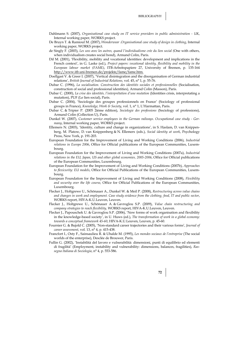BIBLIOGRAPHY

- Dahlmann S. (2007), *Organisational case study on IT service providers in public administration UK*, Internal working paper, WORKS project.
- De Bruyn T. & Ramioul M. (2007), *Wonderwear .Organisational case study of design in clothing*, Internal working paper, WORKS project.
- de Singly F. (2003), *Les uns avec les autres, quand l'individualisme crée du lien social (*One with others, when individualism creates social bond), Armand Colin, Paris.
- Dif M. (2001), 'Flexibility, mobility and vocational identities: development and implications in the French context', in G. Laske (ed.), *Project papers: vocational identity, flexibility and mobility in the European labour market (FAME)*, ITB-Arbeitspapiere 27, University of Bremen, p. 135-164 http://www.itb.uni-bremen.de/projekte/fame/fame.htm.
- Doellgast V. & Greer I. (2007), 'Vertical disintegration and the disorganisation of German industrial relations', *British Journal of Industrial Relations,* vol. 45, n° 1, p. 55-76.
- Dubar C. (1996), *La socialisation. Construction des identités sociales et professionnelles* (Socialisation, construction of social and professional identities)*,* Armand Colin (Masson), Paris.
- Dubar C. (2000), *La crise des identités, l'interprétation d'une mutation* (Identities crisis, interpretating a mutation), PUF (Le lien social), Paris.
- Dubar C. (2004), 'Sociologie des groupes professionnels en France' (Sociology of professional groups in France), *Knowledge, Work & Society*, vol. 1, n° 1, L'Harmattan, Paris.
- Dubar C. & Tripier P. (2005 2ième édition), *Sociologie des professions* (Sociology of professions), Armand Colin (Collection U), Paris.
- Dunkel W. (2007), *Customer service employees in the German railways*. *Occupational case study Germany*, Internal working paper, WORKS project.
- Ellemers N. (2003), 'Identity, culture and change in organizations', in S. Haslam, D. van Knippenberg, M. Platow, D. van Knippenberg & N. Ellemers (eds.), *Social identity at work*, Psychology Press, New York, p. 191-203.
- European Foundation for the Improvement of Living and Working Conditions (2006), *Industrial relations in Europe 2006*, Office for Official publications of the European Communities, Luxembourg.
- European Foundation for the Improvement of Living and Working Conditions (2007a), *Industrial relations in the EU, Japan, US and other global economies, 2005-2006*, Office for Official publications of the European Communities, Luxembourg.
- European Foundation for the Improvement of Living and Working Conditions (2007b), *Approaches to flexicurity: EU models*, Office for Official Publications of the European Communities, Luxembourg.
- European Foundation for the Improvement of Living and Working Conditions (2008), *Flexibility and security over the life course*, Office for Official Publications of the European Communities, Luxembourg.
- Flecker J., Holtgrewe U., Schönauer A., Dunkel W. & Meil P. (2008), *Restructuring across value chains and changes in work and employment. Case study evidence from the clothing, food, IT and public sector*, WORKS report, HIVA-K.U.Leuven, Leuven.
- Flecker J., Holtgrewe U., Schönauer A. & Gavroglou S.P. (2009), *Value chain restructuring and company strategies to reach flexibility,* WORKS report, HIVA-K.U.Leuven, Leuven.
- Flecker J., Papouschek U. & Gavroglou S.P. (2006), 'New forms of work organisation and flexibility in the knowledge-based society', in U. Huws (ed.), *The transformation of work in a global economy: towards a conceptual framework 45-60*, HIVA-K.U.Leuven, Leuven, p. 45-60.
- Fournier G. & Bujold C. (2005), 'Non-standard career trajectories and their various forms', *Journal of career assessment*, vol. 13, n° 4, p. 415-438.
- Francfort I., Osty F., Sainsaulieu R. & Uhalde M. (1995), *Les mondes sociaux de l'entreprise* (The social worlds of the enterprise), Desclée de Brouwer, Paris.
- Fullin G. (2002), 'Instabilità del lavoro e vulnerabilità: dimensioni, punti di equilibrio ed elementi di fragilità' (Employment, instability and vulnerability: dimensions, balances, fragilities), *Rassegna Italiana di Sociologia*, n° 4, p. 553-586.

**72**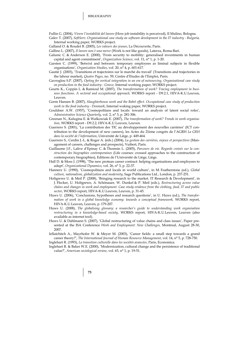Fullin G. (2004), *Vivere l'instabilità del lavoro* (How job instability is perceived), Il Mulino, Bologna.

Galev T. (2007), *SoftServ. Organisational case study on software development in the IT industry - Bulgaria,* Internal working paper, WORKS project.

Galland O. & Roudet B. (2005), *Les valeurs des jeunes*, La Découverte, Paris.

- Gallino L. (2007), *Il lavoro non è una merce* (Work is not like goods), Laterza, Roma-Bari.
- Galunic C. & Anderson E. (2000), 'From security to mobility: generalised investments in human capital and agent commitment', *Organization Science*, vol. 11, n° 1, p. 1-20.
- Garsten C. (1999), 'Betwixt and between: temporary employees as liminal subjects in flexible organisations', *Organization Studies*, vol. 20, n° 4, p. 601-617.
- Gautié J. (2003), 'Transitions et trajectoires sur le marché du travail' (Transitions and trajectories in the labour market), *Quatre Pages*, no. 59, Centre d'Etudes de l'Emploi, Paris.
- Gavroglou S.P. (2007), *Opting for vertical integration in an era of outsourcing. Organisational case study on production in the food industry - Greece,* Internal working paper, WORKS project.
- Geurts K., Coppin L. & Ramioul M. (2007), *The transformation of work? Tracing employment in business functions. A sectoral and occupational approach,* WORKS report - D9.2.1, HIVA-K.U.Leuven, Leuven.
- Gorm Hansen B. (2007), *Slaughterhouse work and the Babel effect. Occupational case study of production work in the food industry - Denmark*, Internal waking paper, WORKS project.
- Gouldner A.W. (1957), 'Cosmopolitans and locals: toward an analysis of latent social roles', *Administrative Science Quarterly*, vol. 2, n° 3, p. 281-306.
- Greenan N., Kalugina E. & Walkowiak E. (2007), *The transformation of work? Trends in work organisation,* WORKS report - D9.2.2, HIVA-K.U.Leuven, Leuven.
- Guerrero S. (2001), 'La contribution des TIC au développement des nouvelles carrières' (ICT contribution to the development of new careers), les Actes du 21ème congrès de l'AGRH *La GRH dans la société de l'information*, Université de Liège, p. 449-464.
- Guerrero S., Cerdin J.-L. & Roger A. (éds.) (2004), *La gestion des carrières, enjeux et perspectives* (Management of careers, challenges and prospects), Vuibert, Paris.
- Guillaume J.F., Lalive d'Epinay C. & Thomsin L. (2005), *Parcours de vie. Regards croisés sur la construction des biographies contemporaines* (Life courses: crossed approaches to the construction of contemporary biographies), Editions de l'Université de Liège, Liège.
- Hall D. & Moss J. (1998), 'The new protean career contract: helping organisations and employees to adapt', *Organizational Dynamics*, vol. 26, n° 3, p. 22-37.
- Hannerz U. (1990), 'Cosmopolitans and locals in world culture', in M. Featherstone (ed.), *Global culture, nationalism, globalization and modernity*, Sage Publications Ltd., London, p. 237-251.
- Holtgrewe U. & Meil P. (2008), 'Bringing research to the market. IT Research & Development', in J. Flecker, U. Holtgrewe, A. Schönauer, W. Dunkel & P. Meil (eds.), *Restructuring across value chains and changes in work and employment. Case study evidence from the clothing, food, IT and public sector*, WORKS report, HIVA-K.U.Leuven, Leuven, p. 31-45.
- Huws U. (2006), 'Conclusions, hypotheses and research questions', in U. Huws (ed.), *The transformation of work in a global knowledge economy: towards a conceptual framework,* WORKS report, HIVA-K.U.Leuven, Leuven, p. 179-207.
- Huws U. (2008), *The globalising glossary: a researcher's guide to understanding work organisation restructuring in a knowledge-based society*, WORKS report, HIVA-K.U.Leuven, Leuven (also available as internet tool).
- Huws U. & Dahlmann S. (2007), 'Global restructuring of value chains and class issues', Paper presented at the ISA Conference *Work and Employment: New Challenges,* Montreal, August 28-30, 2007.
- Iellatchitch A., Mayrhofer W. & Meyer M. (2003), 'Career fields: a small step towards a grand career theory?', *The International Journal of Human Resource Management*, vol. 14, n° 5, p. 728-750. Inglehart R. (1993), *La transition culturelle dans les sociétés avancées*, Paris, Economica.
- Inglehart R. & Baker W.E. (2000), 'Modernization, cultural change and the persistence of traditional value?', *American sociological review*, vol. 65, n° 1, p. 19-51.
	- **73**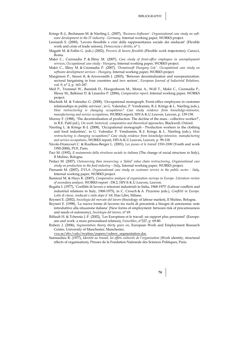BIBLIOGRAPHY

- Krings B.-J., Bechmann M. & Nierling L. (2007), *'Business-Software'. Organisational case study on software development in the IT industry - Germany,* Internal working paper, WORKS project.
- Leonardi S. (2000), 'Lavoro flessibile e crisi della rappresentanza sociale dei sindacati' (Flexible work and crisis of trade unions), *Democrazia e diritto*, n° 1.
- Magatti M. & Fullin G. (eds.) (2002), *Percorsi di lavoro flessibile* (Flexible work trajectories), Carocci, Roma*.*
- Makó C., Csizmadia P. & Illésy M. (2007), *Case study of front-office employees in unemployment services*, *Occupational case study - Hungary,* Internal working paper, WORKS project.
- Makó C., Illésy M. & Csizmadia P. (2007), '*Domainsoft Hungary Ltd.'. Occupational case study on software development services - Hungary,* Internal working paper, WORKS project.
- Marginson P., Sisson K. & Arrowsmith J. (2003), 'Between decentralization and europeanization: sectoral bargaining in four countries and two sectors', *European Journal of Industrial Relations,*  vol. 9, n° 2, p. 163-187.
- Meil P., Trommel W., Bannink D., Hoogenboom M., Moniz A., Woll T., Makó C., Csizmadia P., Illessy M., Balkmar D. & Linardos P. (2006), *Comparative report,* Internal working paper, WORKS project.
- Muchnik M. & Valenduc G. (2008), 'Occupational monograph. Front-office employees in customer relationships in public services', in G. Valenduc, P. Vendramin, B.-J. Krings & L. Nierling (eds.), *How restructuring is changing occupations? Case study evidence from knowledge-intensive, manufacturing and service occupations*, WORKS report, HIVA-K.U.Leuven, Leuven, p. 139-158.
- Murray F. (1988), 'The decentralisation of production. The decline of the mass collective worker?', in R.E. Pahl (ed.), *On work: historical, comparative and theoretical approaches,* Blackwell, Oxford.
- Nierling L. & Krings B.-J. (2008), 'Occupational monograph Production workers in the clothing and food industries', in G. Valenduc P. Vendramin, B.-J. Krings & L. Nierling (eds.), *How restructuring is changing occupations? Case study evidence from knowledge-intensive, manufacturing and service occupations*, WORKS report, HIVA-K.U.Leuven, Leuven, p. 99-118.
- Nicole-Drancourt C. & Roulleau-Berger L. (2001), *Les jeunes et le travail 1950-2000* (Youth and work 1950-2000), PUF, Paris.
- Paci M. (1992), *Il mutamento della struttura sociale in italiana* (The change of social structure in Italy), Il Mulino, Bologna.
- Pedaci M. (2007), *Outsourcing then insourcing: a 'failed' value chain restructuring. Organisational case study on production in the food industry – Italy*, Internal working paper, WORKS project.
- Piersanti M. (2007), *DVLA*. *Organisational case study on customer service in the public sector Italy,* Internal working paper, WORKS project.
- Ramioul M. & Huys R. (2007), *Comparative analysis of organisation surveys in Europe. Literature review of secondary analysis,* WORKS report - D8.2, HIVA-K.U.Leuven, Leuven.
- Regalia I. (1977), 'Conflitti di lavoro e relazioni industriali in Italia, 1968-1975' (Labour conflicts and industrial relations in Italy, 1968-1975), in C. Crouch & A. Pizzorno (eds.), *Conflitti in Europe. Lotte di classe, sindacati e stato dopo il '68*, Etas Libri, Milano.
- Reyneri E. (2002), *Sociologia del mercato del lavoro* (Sociology of labour market), Il Mulino, Bologna.
- Reyneri E. (1998), 'Le nuove forme di lavorno tra rischi di precarietà a bisogni di autonomia: note introduttive alla situazione italiana' (New forms of employment: between risk of precariousness and needs of autonomy), *Sociologia del lavoro*, n° 69.
- Riffault H. & Tchernia J.-F. (2002), 'Les Européens et le travail: un rapport plus personnel' (Europeans and work: a more personalised relation), *Futuribles*, n°227, p. 69-80.
- Rubery J. (2006), *Segmentation theory thirty years on*, European Work and Employment Research Centre, University of Manchester, Manchester,

vxu.se/ehv/cafo/iwplms/papers/rubery\_segmentation.doc.

Sainsaulieu R. (1977), *Identité au travail, les effets culturels de l'organisation* (Work identity, structural effects of organisation), Presses de la Fondation Nationale des Sciences Politiques, Paris.

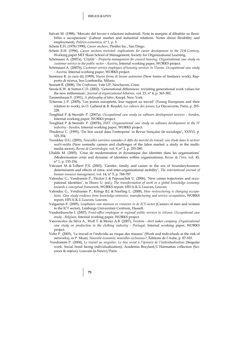Salvati M. (1988), 'Mercato del lavoro e relazioni industriali. Note in margine al dibattito su flessibilità e occupazione' (Labour market and industrial relations. Notes about flexibility and employment), *Politica economica*, n° 1, p. 3.

Schein E.H. (1978/1990), *Career anchors*, Pfeiffer Inc., San Diego.

Schein E.H. (1996), *Career anchors revisited: implications for career development in the 21th Century*, Working paper MIT Sloan School of Management, Society for Organizational Learning.

Schönauer A. (2007a), *'Citylife' - Property management for council housing. Organisational case study on customer service in the public sector - Austria*, Internal working paper, WORKS project.

- Schönauer A. (2007b), *Customer service employees of housing services in Vienna. Occupational case study - Austria,* Internal working paper, WORKS project.
- Semenza R. (a cura di) (1999), *Nuove forme di lavoro autonomo* (New forms of freelance work), Rapporto di ricerca, Ires Lombardia, Milano.
- Sennett R. (2008), *The Craftsman*, Yale UP, Newhaven, Conn.
- Smola K.W. & Sutton C.D. (2002), 'Generational differences: revisiting generational work values for the new millennium', *Journal of organizational behavior*, vol. 23, n° 4, p. 363-382.
- Tannenbaum F. (1951), *A philosophy of labor*, Knopf, New York.
- Tchernia J.-P. (2005), 'Les jeunes européens, leur rapport au travail' (Young Europeans and their relation to work), in O. Galland & B. Roudet, *Les valeurs des jeunes*, La Découverte, Paris, p. 205- 228
- Tengblad P. & Sternälv P. (2007a), *Occupational case study on software development services Sweden*, Internal working paper, WORKS project.
- Tengblad P. & Sternälv P. (2007b), *INIT. Organisational case study on software development in the IT industry - Sweden,* Internal working paper, WORKS project.
- Thuderoz C. (1995), 'Du lien social dans l'entreprise' in Revue française de sociologie', XXXVI, p. 325-354.
- Tremblay D.G. (2003), *Nouvelles carrières nomades et défis du marché du travail: une étude dans le secteur multi-média* (New nomadic careers and challenges of the labor market: a study in the multimedia sector), *Revue de Carriérologie,* vol. 9, n° 2, p. 255-280.
- Uhalde M. (2005), 'Crise de modernisation et dynamique des identités dans les organisations' (Modernisation crisis and dynamic of identities within organizations), *Revue de l'Ires,* vol. 45, n° 1, p. 135-154.
- Valcourt M. & Tolbert P.S. (2003), 'Gender, family and career in the era of boundarylessness: determinants and effects of intra- and inter-organisational mobility', *The international journal of human resource management*, vol. 14, n° 5, p. 768-787.
- Valenduc G., Vendramin P., Flecker J. & Papouschek U. (2006), 'New career trajectories and occupational identities', in Huws U. (ed.), *The transformation of work in a global knowledge economy: towards a conceptual framework*, WORKS report, HIVA-K.U.Leuven, Leuven.
- Valenduc G., Vendramin P., Krings B.J. & Nierling L. (2008), *How restructuring is changing occupations. Case study evidence from knowledge-intensive, manufacturing and service occupations*, WORKS report, HIVA-K.U.Leuven, Leuven.
- Valgaeren E. (2005), *Loopbanen van mannen en vrouwen in de ICT-sector* (Careers of men and women in the ICT sector), Limburgs Universitair Centrum, Hasselt.
- Vandenbussche I. (2007), *Front-office employees in regional public services to citizens. Occupational case study - Belgium*, Internal working paper, WORKS project.
- Vasconcelos da Silva A., Woll T. & Moniz A.B. (2007), *Texitom shirt maker company .Organisational case study on production in the clothing industry - Portugal*, Internal working paper, WORKS project.
- Veltz P. (2003), 'Le travail et l'individu au risque des réseaux' (Work and individuals at the risk of networks), in P. Moati, *Nouvelle économie, nouvelles exclusions?*, Éditions de l'Aube, p. 87-103.
- Vendramin P. (2004), *Le travail au singulier. Le lien social à l'épreuve de l'individualisation* (Singular work. Social bond facing individualization), Académia Bruylant/L'Harmattan collection (Sciences & enjeux), Louvain-la-Neuve/Paris.

**75**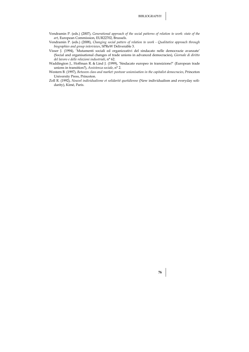- Vendramin P. (eds.) (2007), *Generational approach of the social patterns of relation to work: state of the art*, European Commission, EUR22702, Brussels.
- Vendramin P. (eds.) (2008), *Changing social patters of relation to work Qualitative approach through biographies and group interviews*, SPReW Deliverable 3.
- Visser J. (1994), 'Mutamenti sociali ed organizzativi del sindacato nelle democrazie avanzate' (Social and organisational changes of trade unions in advanced democracies), *Giornale di diritto del lavoro e delle relazioni industriali*, n° 62.
- Waddington J., Hoffman R. & Lind J. (1999), 'Sindacato europeo in transizione?' (European trade unions in transition?), *Assistenza sociale*, n° 2.
- Western B. (1997), *Between class and market: postwar unionisation in the capitalist democracies*, Princeton University Press, Princeton.
- Zoll R. (1992), *Nouvel individualisme et solidarité quotidienne* (New individualism and everyday solidarity), Kimé, Paris.